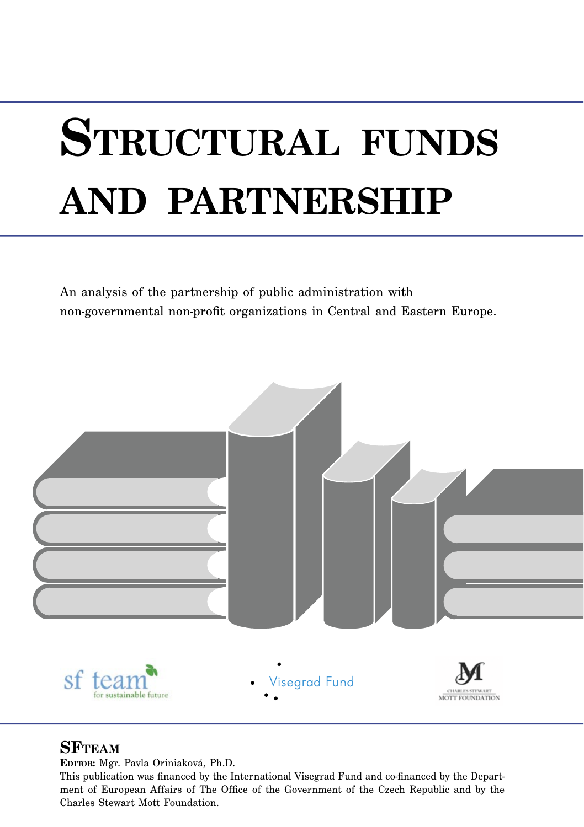# **STRUCTURAL FUNDS AND PARTNERSHIP**

An analysis of the partnership of public administration with non-governmental non-profit organizations in Central and Eastern Europe.



#### **SFTEAM**

**EDITOR:** Mgr. Pavla Oriniaková, Ph.D.

This publication was financed by the International Visegrad Fund and co-financed by the Department of European Affairs of The Office of the Government of the Czech Republic and by the Charles Stewart Mott Foundation.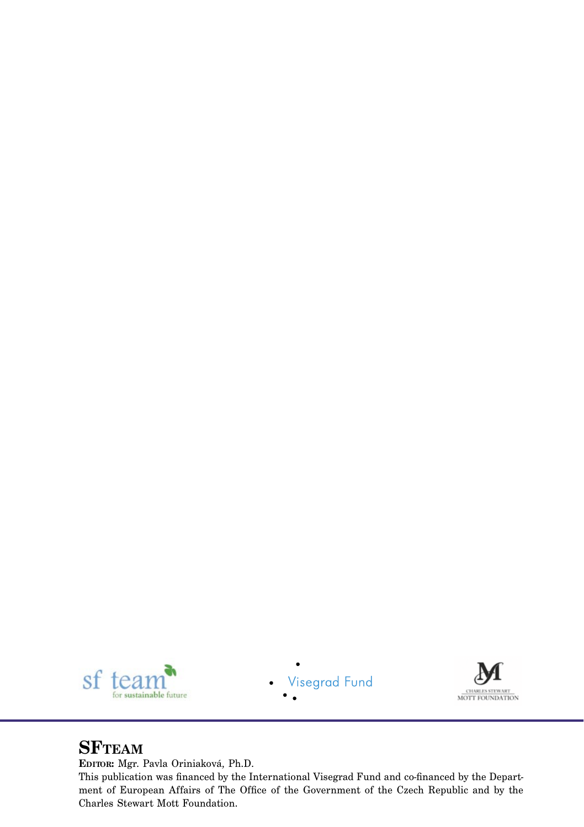

• Visegrad Fund<br>• •



# **SFTEAM**

**EDITOR:** Mgr. Pavla Oriniaková, Ph.D.

This publication was financed by the International Visegrad Fund and co-financed by the Department of European Affairs of The Office of the Government of the Czech Republic and by the Charles Stewart Mott Foundation.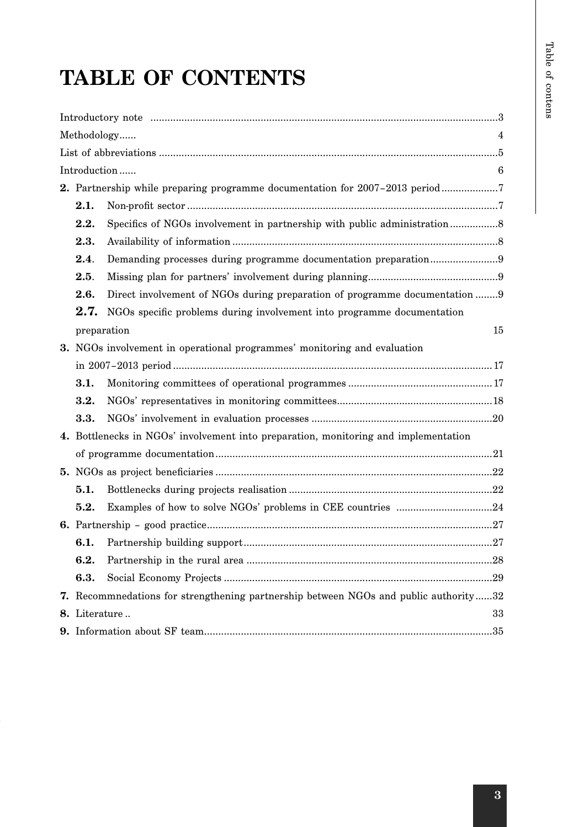# **TABLE OF CONTENTS**

| Methodology<br>4  |                                                                                     |                                                                                      |  |
|-------------------|-------------------------------------------------------------------------------------|--------------------------------------------------------------------------------------|--|
|                   |                                                                                     |                                                                                      |  |
| Introduction<br>6 |                                                                                     |                                                                                      |  |
|                   | 2. Partnership while preparing programme documentation for 2007-2013 period         |                                                                                      |  |
|                   | 2.1.                                                                                |                                                                                      |  |
|                   | 2.2.                                                                                |                                                                                      |  |
|                   | 2.3.                                                                                |                                                                                      |  |
|                   | 2.4.                                                                                |                                                                                      |  |
|                   | 2.5.                                                                                |                                                                                      |  |
|                   | 2.6.                                                                                | Direct involvement of NGOs during preparation of programme documentation 9           |  |
|                   | 2.7.                                                                                | NGOs specific problems during involvement into programme documentation               |  |
|                   | preparation<br>15                                                                   |                                                                                      |  |
|                   | 3. NGOs involvement in operational programmes' monitoring and evaluation            |                                                                                      |  |
|                   |                                                                                     |                                                                                      |  |
|                   | 3.1.                                                                                |                                                                                      |  |
|                   | 3.2.                                                                                |                                                                                      |  |
|                   | 3.3.                                                                                |                                                                                      |  |
|                   | 4. Bottlenecks in NGOs' involvement into preparation, monitoring and implementation |                                                                                      |  |
|                   |                                                                                     |                                                                                      |  |
|                   |                                                                                     |                                                                                      |  |
|                   | 5.1.                                                                                |                                                                                      |  |
|                   | 5.2.                                                                                |                                                                                      |  |
|                   |                                                                                     |                                                                                      |  |
|                   | 6.1.                                                                                |                                                                                      |  |
|                   | 6.2.                                                                                |                                                                                      |  |
|                   | 6.3.                                                                                |                                                                                      |  |
|                   |                                                                                     | 7. Recommnedations for strengthening partnership between NGOs and public authority32 |  |
|                   | 8. Literature<br>33                                                                 |                                                                                      |  |
|                   |                                                                                     |                                                                                      |  |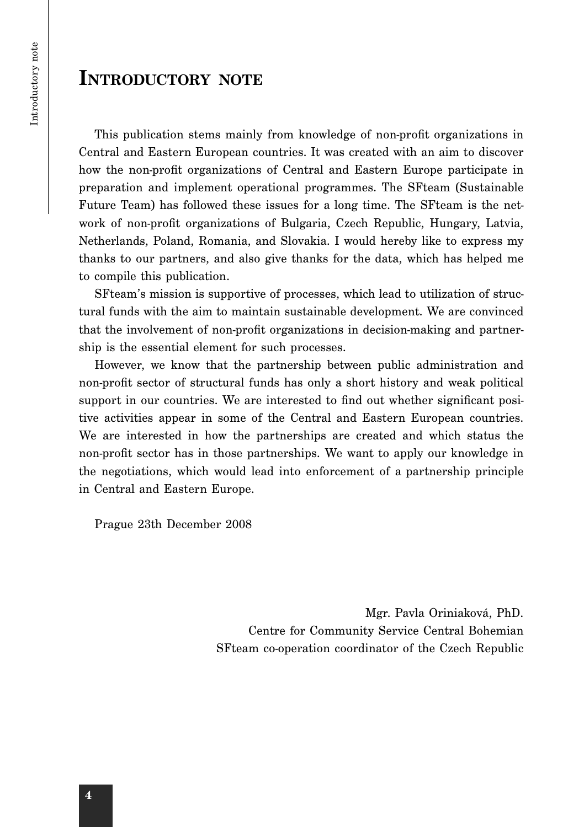### **INTRODUCTORY NOTE**

This publication stems mainly from knowledge of non-profit organizations in Central and Eastern European countries. It was created with an aim to discover how the non-profit organizations of Central and Eastern Europe participate in preparation and implement operational programmes. The SFteam (Sustainable Future Team) has followed these issues for a long time. The SFteam is the network of non-profit organizations of Bulgaria, Czech Republic, Hungary, Latvia, Netherlands, Poland, Romania, and Slovakia. I would hereby like to express my thanks to our partners, and also give thanks for the data, which has helped me to compile this publication.

SFteam's mission is supportive of processes, which lead to utilization of structural funds with the aim to maintain sustainable development. We are convinced that the involvement of non-profit organizations in decision-making and partnership is the essential element for such processes.

However, we know that the partnership between public administration and non-profit sector of structural funds has only a short history and weak political support in our countries. We are interested to find out whether significant positive activities appear in some of the Central and Eastern European countries. We are interested in how the partnerships are created and which status the non-profit sector has in those partnerships. We want to apply our knowledge in the negotiations, which would lead into enforcement of a partnership principle in Central and Eastern Europe.

Prague 23th December 2008

Mgr. Pavla Oriniaková, PhD. Centre for Community Service Central Bohemian SFteam co-operation coordinator of the Czech Republic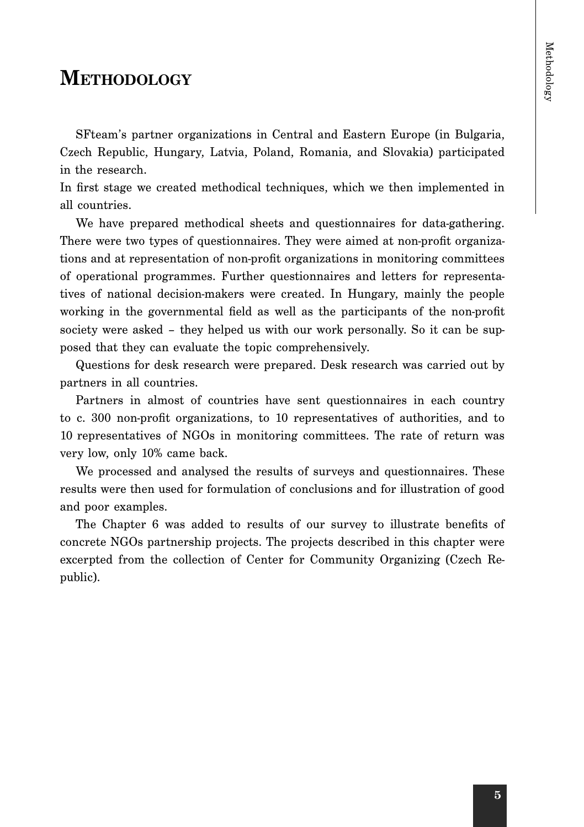# **METHODOLOGY**

SFteam's partner organizations in Central and Eastern Europe (in Bulgaria, Czech Republic, Hungary, Latvia, Poland, Romania, and Slovakia) participated in the research.

In first stage we created methodical techniques, which we then implemented in all countries.

We have prepared methodical sheets and questionnaires for data-gathering. There were two types of questionnaires. They were aimed at non-profit organizations and at representation of non-profit organizations in monitoring committees of operational programmes. Further questionnaires and letters for representatives of national decision-makers were created. In Hungary, mainly the people working in the governmental field as well as the participants of the non-profit society were asked – they helped us with our work personally. So it can be supposed that they can evaluate the topic comprehensively.

Questions for desk research were prepared. Desk research was carried out by partners in all countries.

Partners in almost of countries have sent questionnaires in each country to c. 300 non-profit organizations, to 10 representatives of authorities, and to 10 representatives of NGOs in monitoring committees. The rate of return was very low, only 10% came back.

We processed and analysed the results of surveys and questionnaires. These results were then used for formulation of conclusions and for illustration of good and poor examples.

The Chapter 6 was added to results of our survey to illustrate benefits of concrete NGOs partnership projects. The projects described in this chapter were excerpted from the collection of Center for Community Organizing (Czech Republic).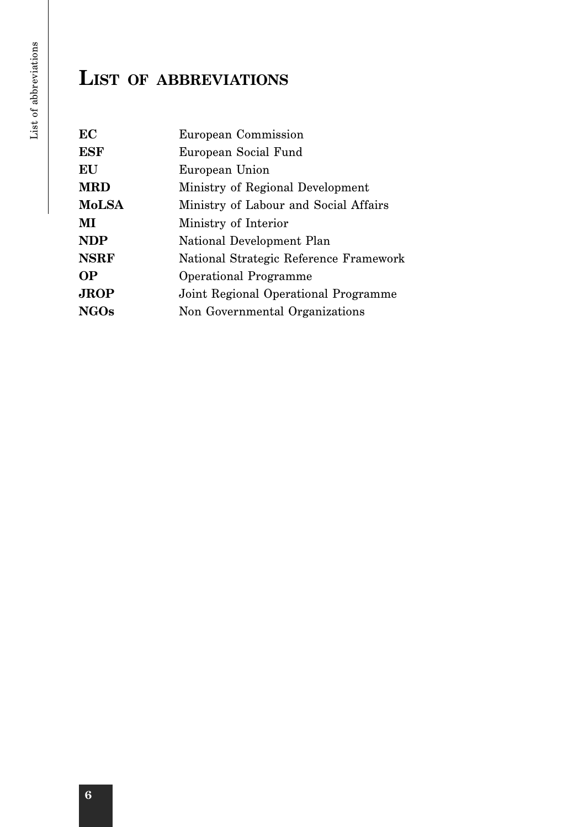# **LIST OF ABBREVIATIONS**

| European Commission                    |
|----------------------------------------|
| European Social Fund                   |
| European Union                         |
| Ministry of Regional Development       |
| Ministry of Labour and Social Affairs  |
| Ministry of Interior                   |
| National Development Plan              |
| National Strategic Reference Framework |
| Operational Programme                  |
| Joint Regional Operational Programme   |
| Non Governmental Organizations         |
|                                        |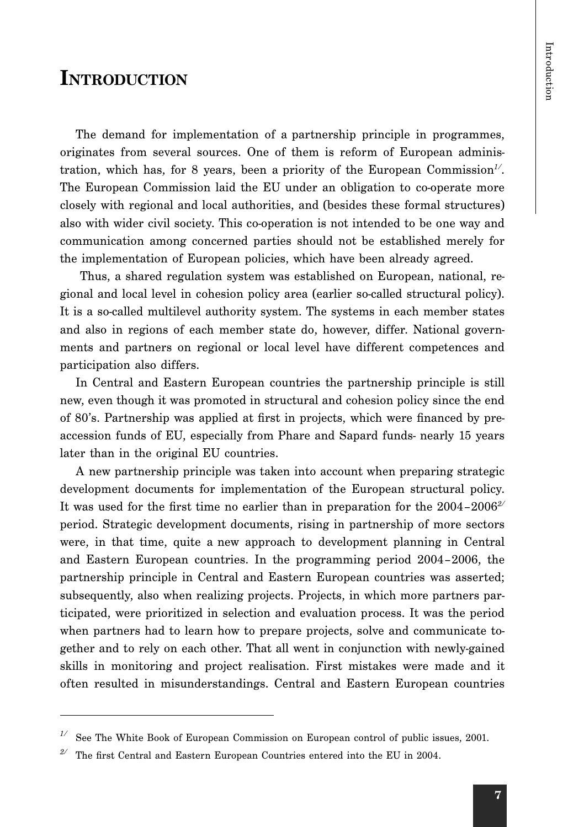# **INTRODUCTION**

The demand for implementation of a partnership principle in programmes, originates from several sources. One of them is reform of European administration, which has, for 8 years, been a priority of the European Commission*1/*. The European Commission laid the EU under an obligation to co-operate more closely with regional and local authorities, and (besides these formal structures) also with wider civil society. This co-operation is not intended to be one way and communication among concerned parties should not be established merely for the implementation of European policies, which have been already agreed.

 Thus, a shared regulation system was established on European, national, regional and local level in cohesion policy area (earlier so-called structural policy). It is a so-called multilevel authority system. The systems in each member states and also in regions of each member state do, however, differ. National governments and partners on regional or local level have different competences and participation also differs.

In Central and Eastern European countries the partnership principle is still new, even though it was promoted in structural and cohesion policy since the end of 80's. Partnership was applied at first in projects, which were financed by preaccession funds of EU, especially from Phare and Sapard funds- nearly 15 years later than in the original EU countries.

A new partnership principle was taken into account when preparing strategic development documents for implementation of the European structural policy. It was used for the first time no earlier than in preparation for the 2004–2006*2/*  period. Strategic development documents, rising in partnership of more sectors were, in that time, quite a new approach to development planning in Central and Eastern European countries. In the programming period 2004–2006, the partnership principle in Central and Eastern European countries was asserted; subsequently, also when realizing projects. Projects, in which more partners participated, were prioritized in selection and evaluation process. It was the period when partners had to learn how to prepare projects, solve and communicate together and to rely on each other. That all went in conjunction with newly-gained skills in monitoring and project realisation. First mistakes were made and it often resulted in misunderstandings. Central and Eastern European countries

*<sup>1/</sup>* See The White Book of European Commission on European control of public issues, 2001.

*<sup>2/</sup>* The first Central and Eastern European Countries entered into the EU in 2004.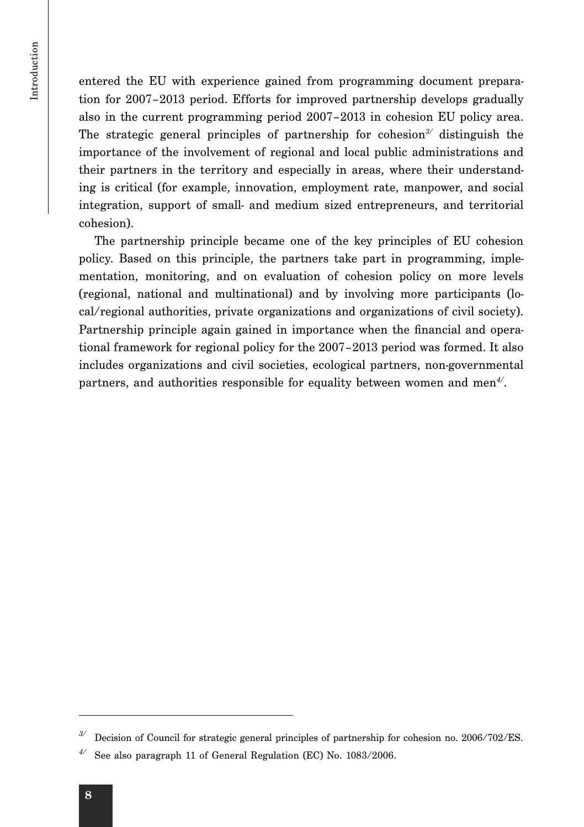Introduction Introduction

entered the EU with experience gained from programming document preparation for 2007–2013 period. Efforts for improved partnership develops gradually also in the current programming period 2007–2013 in cohesion EU policy area. The strategic general principles of partnership for cohesion*3/* distinguish the importance of the involvement of regional and local public administrations and their partners in the territory and especially in areas, where their understanding is critical (for example, innovation, employment rate, manpower, and social integration, support of small- and medium sized entrepreneurs, and territorial cohesion).

The partnership principle became one of the key principles of EU cohesion policy. Based on this principle, the partners take part in programming, implementation, monitoring, and on evaluation of cohesion policy on more levels (regional, national and multinational) and by involving more participants (local/regional authorities, private organizations and organizations of civil society). Partnership principle again gained in importance when the financial and operational framework for regional policy for the 2007–2013 period was formed. It also includes organizations and civil societies, ecological partners, non-governmental partners, and authorities responsible for equality between women and men*4/*.

*<sup>3/</sup>* Decision of Council for strategic general principles of partnership for cohesion no. 2006/702/ES.

See also paragraph 11 of General Regulation *(EC)* No. 1083/2006.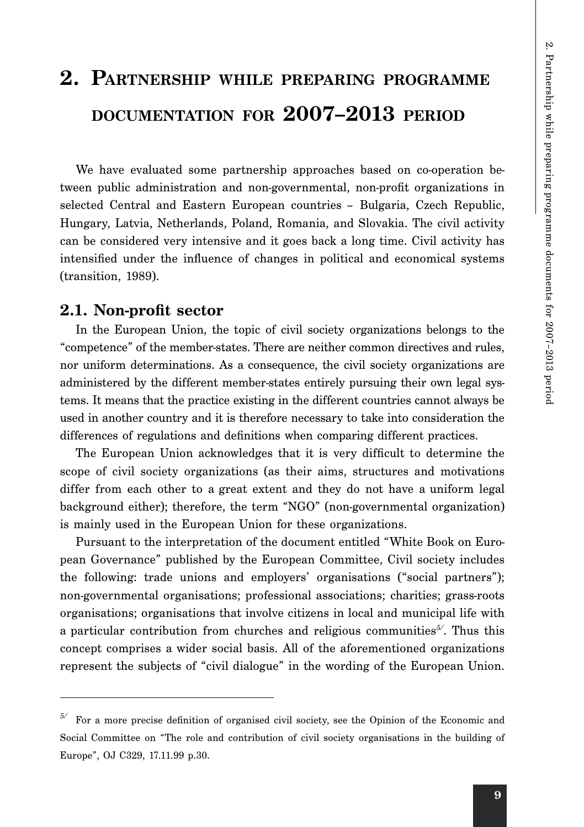# **2. PARTNERSHIP WHILE PREPARING PROGRAMME DOCUMENTATION FOR 2007–2013 PERIOD**

We have evaluated some partnership approaches based on co-operation between public administration and non-governmental, non-profit organizations in selected Central and Eastern European countries – Bulgaria, Czech Republic, Hungary, Latvia, Netherlands, Poland, Romania, and Slovakia. The civil activity can be considered very intensive and it goes back a long time. Civil activity has intensified under the influence of changes in political and economical systems (transition, 1989).

#### **2.1. Non-profit sector**

In the European Union, the topic of civil society organizations belongs to the "competence" of the member-states. There are neither common directives and rules, nor uniform determinations. As a consequence, the civil society organizations are administered by the different member-states entirely pursuing their own legal systems. It means that the practice existing in the different countries cannot always be used in another country and it is therefore necessary to take into consideration the differences of regulations and definitions when comparing different practices.

The European Union acknowledges that it is very difficult to determine the scope of civil society organizations (as their aims, structures and motivations differ from each other to a great extent and they do not have a uniform legal background either); therefore, the term "NGO" (non-governmental organization) is mainly used in the European Union for these organizations.

Pursuant to the interpretation of the document entitled "White Book on European Governance" published by the European Committee, Civil society includes the following: trade unions and employers' organisations ("social partners"); non-governmental organisations; professional associations; charities; grass-roots organisations; organisations that involve citizens in local and municipal life with a particular contribution from churches and religious communities*5/*. Thus this concept comprises a wider social basis. All of the aforementioned organizations represent the subjects of "civil dialogue" in the wording of the European Union.

*<sup>5/</sup>* For a more precise definition of organised civil society, see the Opinion of the Economic and Social Committee on "The role and contribution of civil society organisations in the building of Europe", OJ C329, 17.11.99 p.30.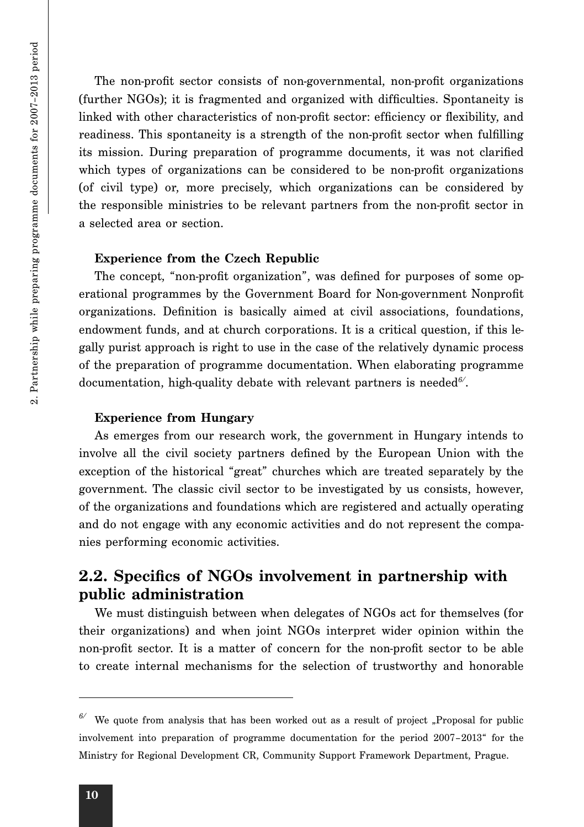The non-profit sector consists of non-governmental, non-profit organizations (further NGOs); it is fragmented and organized with difficulties. Spontaneity is linked with other characteristics of non-profit sector: efficiency or flexibility, and readiness. This spontaneity is a strength of the non-profit sector when fulfilling its mission. During preparation of programme documents, it was not clarified which types of organizations can be considered to be non-profit organizations (of civil type) or, more precisely, which organizations can be considered by the responsible ministries to be relevant partners from the non-profit sector in a selected area or section.

#### **Experience from the Czech Republic**

The concept, "non-profit organization", was defined for purposes of some operational programmes by the Government Board for Non-government Nonprofit organizations. Definition is basically aimed at civil associations, foundations, endowment funds, and at church corporations. It is a critical question, if this legally purist approach is right to use in the case of the relatively dynamic process of the preparation of programme documentation. When elaborating programme documentation, high-quality debate with relevant partners is needed*6/*.

#### **Experience from Hungary**

As emerges from our research work, the government in Hungary intends to involve all the civil society partners defined by the European Union with the exception of the historical "great" churches which are treated separately by the government. The classic civil sector to be investigated by us consists, however, of the organizations and foundations which are registered and actually operating and do not engage with any economic activities and do not represent the companies performing economic activities.

#### **2.2. Specifics of NGOs involvement in partnership with public administration**

We must distinguish between when delegates of NGOs act for themselves (for their organizations) and when joint NGOs interpret wider opinion within the non-profit sector. It is a matter of concern for the non-profit sector to be able to create internal mechanisms for the selection of trustworthy and honorable

<sup>&</sup>lt;sup>6/</sup> We quote from analysis that has been worked out as a result of project "Proposal for public involvement into preparation of programme documentation for the period 2007–2013" for the Ministry for Regional Development CR, Community Support Framework Department, Prague.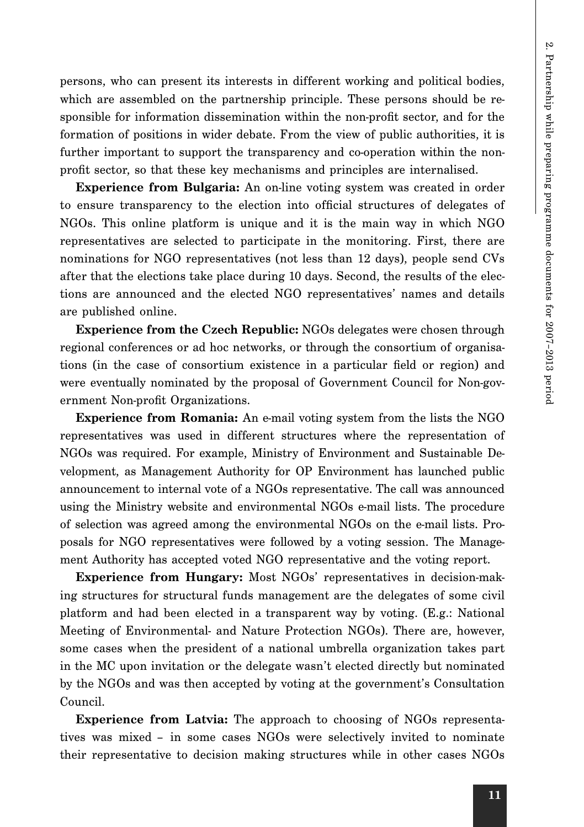persons, who can present its interests in different working and political bodies, which are assembled on the partnership principle. These persons should be responsible for information dissemination within the non-profit sector, and for the formation of positions in wider debate. From the view of public authorities, it is further important to support the transparency and co-operation within the nonprofit sector, so that these key mechanisms and principles are internalised.

**Experience from Bulgaria:** An on-line voting system was created in order to ensure transparency to the election into official structures of delegates of NGOs. This online platform is unique and it is the main way in which NGO representatives are selected to participate in the monitoring. First, there are nominations for NGO representatives (not less than 12 days), people send CVs after that the elections take place during 10 days. Second, the results of the elections are announced and the elected NGO representatives' names and details are published online.

**Experience from the Czech Republic:** NGOs delegates were chosen through regional conferences or ad hoc networks, or through the consortium of organisations (in the case of consortium existence in a particular field or region) and were eventually nominated by the proposal of Government Council for Non-government Non-profit Organizations.

**Experience from Romania:** An e-mail voting system from the lists the NGO representatives was used in different structures where the representation of NGOs was required. For example, Ministry of Environment and Sustainable Development, as Management Authority for OP Environment has launched public announcement to internal vote of a NGOs representative. The call was announced using the Ministry website and environmental NGOs e-mail lists. The procedure of selection was agreed among the environmental NGOs on the e-mail lists. Proposals for NGO representatives were followed by a voting session. The Management Authority has accepted voted NGO representative and the voting report.

**Experience from Hungary:** Most NGOs' representatives in decision-making structures for structural funds management are the delegates of some civil platform and had been elected in a transparent way by voting. (E.g.: National Meeting of Environmental- and Nature Protection NGOs). There are, however, some cases when the president of a national umbrella organization takes part in the MC upon invitation or the delegate wasn't elected directly but nominated by the NGOs and was then accepted by voting at the government's Consultation Council.

**Experience from Latvia:** The approach to choosing of NGOs representatives was mixed – in some cases NGOs were selectively invited to nominate their representative to decision making structures while in other cases NGOs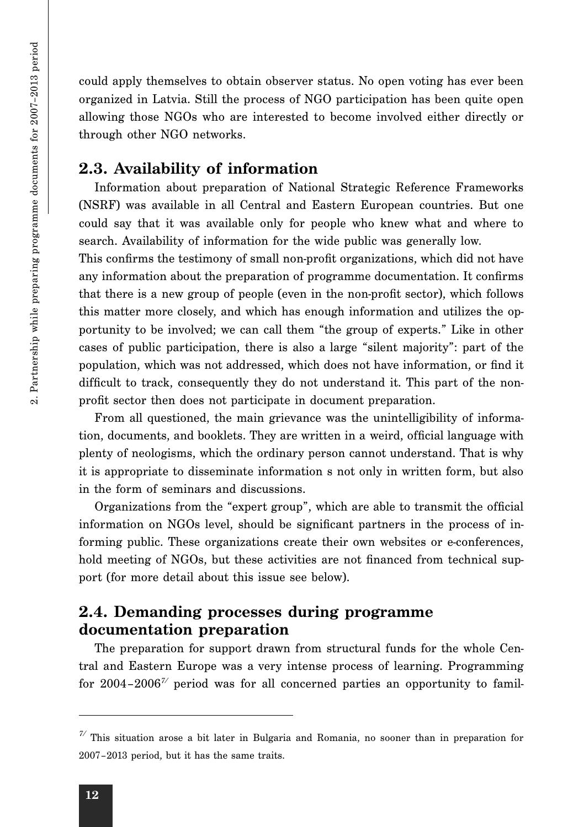could apply themselves to obtain observer status. No open voting has ever been organized in Latvia. Still the process of NGO participation has been quite open allowing those NGOs who are interested to become involved either directly or through other NGO networks.

#### **2.3. Availability of information**

Information about preparation of National Strategic Reference Frameworks (NSRF) was available in all Central and Eastern European countries. But one could say that it was available only for people who knew what and where to search. Availability of information for the wide public was generally low.

This confirms the testimony of small non-profit organizations, which did not have any information about the preparation of programme documentation. It confirms that there is a new group of people (even in the non-profit sector), which follows this matter more closely, and which has enough information and utilizes the opportunity to be involved; we can call them "the group of experts." Like in other cases of public participation, there is also a large "silent majority": part of the population, which was not addressed, which does not have information, or find it difficult to track, consequently they do not understand it. This part of the nonprofit sector then does not participate in document preparation.

From all questioned, the main grievance was the unintelligibility of information, documents, and booklets. They are written in a weird, official language with plenty of neologisms, which the ordinary person cannot understand. That is why it is appropriate to disseminate information s not only in written form, but also in the form of seminars and discussions.

Organizations from the "expert group", which are able to transmit the official information on NGOs level, should be significant partners in the process of informing public. These organizations create their own websites or e-conferences, hold meeting of NGOs, but these activities are not financed from technical support (for more detail about this issue see below).

#### **2.4. Demanding processes during programme documentation preparation**

The preparation for support drawn from structural funds for the whole Central and Eastern Europe was a very intense process of learning. Programming for 2004–2006*7/* period was for all concerned parties an opportunity to famil-

*<sup>7/</sup>* This situation arose a bit later in Bulgaria and Romania, no sooner than in preparation for 2007–2013 period, but it has the same traits.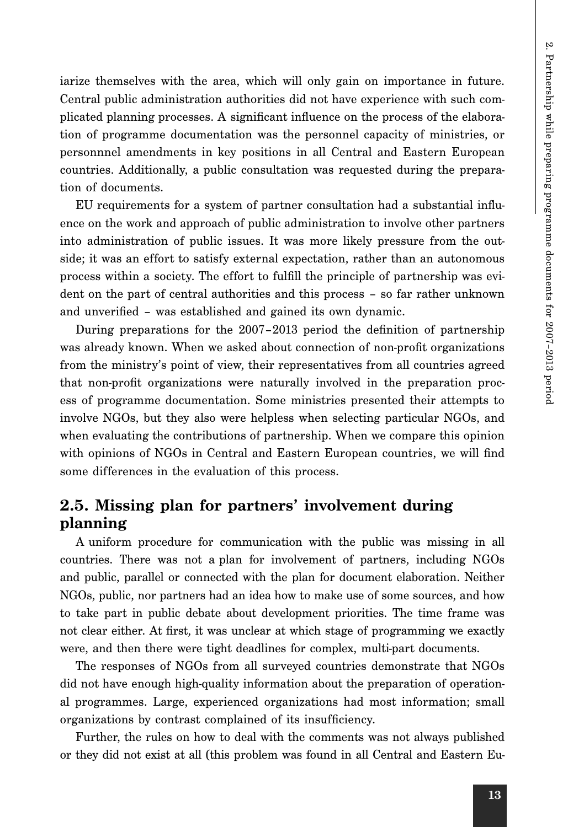iarize themselves with the area, which will only gain on importance in future. Central public administration authorities did not have experience with such complicated planning processes. A significant influence on the process of the elaboration of programme documentation was the personnel capacity of ministries, or personnnel amendments in key positions in all Central and Eastern European countries. Additionally, a public consultation was requested during the preparation of documents.

EU requirements for a system of partner consultation had a substantial influence on the work and approach of public administration to involve other partners into administration of public issues. It was more likely pressure from the outside; it was an effort to satisfy external expectation, rather than an autonomous process within a society. The effort to fulfill the principle of partnership was evident on the part of central authorities and this process – so far rather unknown and unverified – was established and gained its own dynamic.

During preparations for the 2007–2013 period the definition of partnership was already known. When we asked about connection of non-profit organizations from the ministry's point of view, their representatives from all countries agreed that non-profit organizations were naturally involved in the preparation process of programme documentation. Some ministries presented their attempts to involve NGOs, but they also were helpless when selecting particular NGOs, and when evaluating the contributions of partnership. When we compare this opinion with opinions of NGOs in Central and Eastern European countries, we will find some differences in the evaluation of this process.

#### **2.5. Missing plan for partners' involvement during planning**

A uniform procedure for communication with the public was missing in all countries. There was not a plan for involvement of partners, including NGOs and public, parallel or connected with the plan for document elaboration. Neither NGOs, public, nor partners had an idea how to make use of some sources, and how to take part in public debate about development priorities. The time frame was not clear either. At first, it was unclear at which stage of programming we exactly were, and then there were tight deadlines for complex, multi-part documents.

The responses of NGOs from all surveyed countries demonstrate that NGOs did not have enough high-quality information about the preparation of operational programmes. Large, experienced organizations had most information; small organizations by contrast complained of its insufficiency.

Further, the rules on how to deal with the comments was not always published or they did not exist at all (this problem was found in all Central and Eastern Eu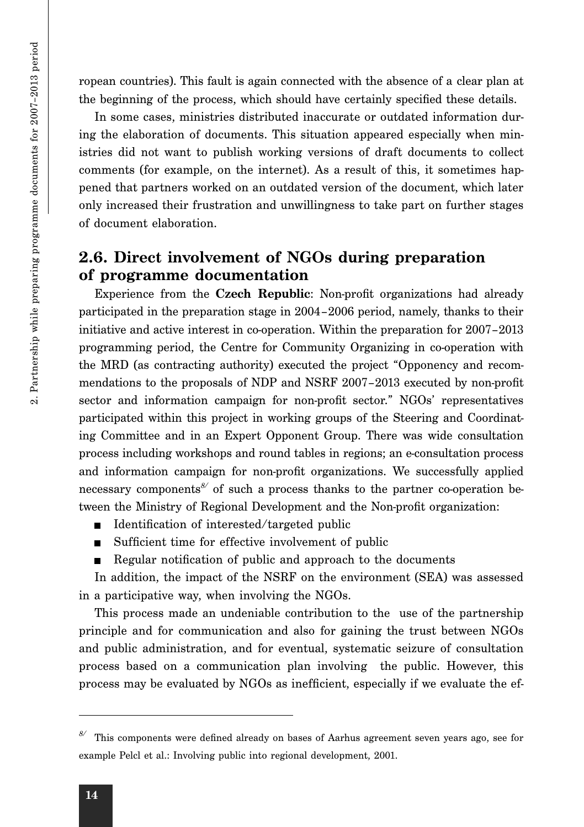ropean countries). This fault is again connected with the absence of a clear plan at the beginning of the process, which should have certainly specified these details.

In some cases, ministries distributed inaccurate or outdated information during the elaboration of documents. This situation appeared especially when ministries did not want to publish working versions of draft documents to collect comments (for example, on the internet). As a result of this, it sometimes happened that partners worked on an outdated version of the document, which later only increased their frustration and unwillingness to take part on further stages of document elaboration.

#### **2.6. Direct involvement of NGOs during preparation of programme documentation**

Experience from the **Czech Republic**: Non-profit organizations had already participated in the preparation stage in 2004–2006 period, namely, thanks to their initiative and active interest in co-operation. Within the preparation for 2007–2013 programming period, the Centre for Community Organizing in co-operation with the MRD (as contracting authority) executed the project "Opponency and recommendations to the proposals of NDP and NSRF 2007–2013 executed by non-profit sector and information campaign for non-profit sector." NGOs' representatives participated within this project in working groups of the Steering and Coordinating Committee and in an Expert Opponent Group. There was wide consultation process including workshops and round tables in regions; an e-consultation process and information campaign for non-profit organizations. We successfully applied necessary components*8/* of such a process thanks to the partner co-operation between the Ministry of Regional Development and the Non-profit organization:

- Identification of interested/targeted public
- Sufficient time for effective involvement of public
- Regular notification of public and approach to the documents

In addition, the impact of the NSRF on the environment (SEA) was assessed in a participative way, when involving the NGOs.

This process made an undeniable contribution to the use of the partnership principle and for communication and also for gaining the trust between NGOs and public administration, and for eventual, systematic seizure of consultation process based on a communication plan involving the public. However, this process may be evaluated by NGOs as inefficient, especially if we evaluate the ef-

*<sup>8/</sup>* This components were defined already on bases of Aarhus agreement seven years ago, see for example Pelcl et al.: Involving public into regional development, 2001.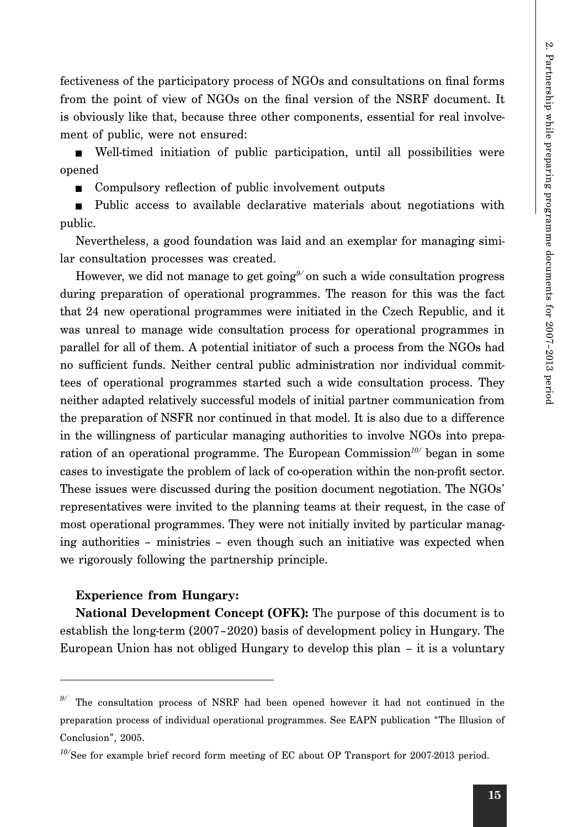fectiveness of the participatory process of NGOs and consultations on final forms from the point of view of NGOs on the final version of the NSRF document. It is obviously like that, because three other components, essential for real involvement of public, were not ensured:

 Well-timed initiation of public participation, until all possibilities were opened

■ Compulsory reflection of public involvement outputs

 Public access to available declarative materials about negotiations with public.

Nevertheless, a good foundation was laid and an exemplar for managing similar consultation processes was created.

However, we did not manage to get going*9/* on such a wide consultation progress during preparation of operational programmes. The reason for this was the fact that 24 new operational programmes were initiated in the Czech Republic, and it was unreal to manage wide consultation process for operational programmes in parallel for all of them. A potential initiator of such a process from the NGOs had no sufficient funds. Neither central public administration nor individual committees of operational programmes started such a wide consultation process. They neither adapted relatively successful models of initial partner communication from the preparation of NSFR nor continued in that model. It is also due to a difference in the willingness of particular managing authorities to involve NGOs into preparation of an operational programme. The European Commission*10/* began in some cases to investigate the problem of lack of co-operation within the non-profit sector. These issues were discussed during the position document negotiation. The NGOs' representatives were invited to the planning teams at their request, in the case of most operational programmes. They were not initially invited by particular managing authorities – ministries – even though such an initiative was expected when we rigorously following the partnership principle.

#### **Experience from Hungary:**

**National Development Concept (OFK):** The purpose of this document is to establish the long-term (2007–2020) basis of development policy in Hungary. The European Union has not obliged Hungary to develop this plan – it is a voluntary

The consultation process of NSRF had been opened however it had not continued in the preparation process of individual operational programmes. See EAPN publication "The Illusion of Conclusion", 2005.

*<sup>10/</sup>*See for example brief record form meeting of EC about OP Transport for 2007-2013 period.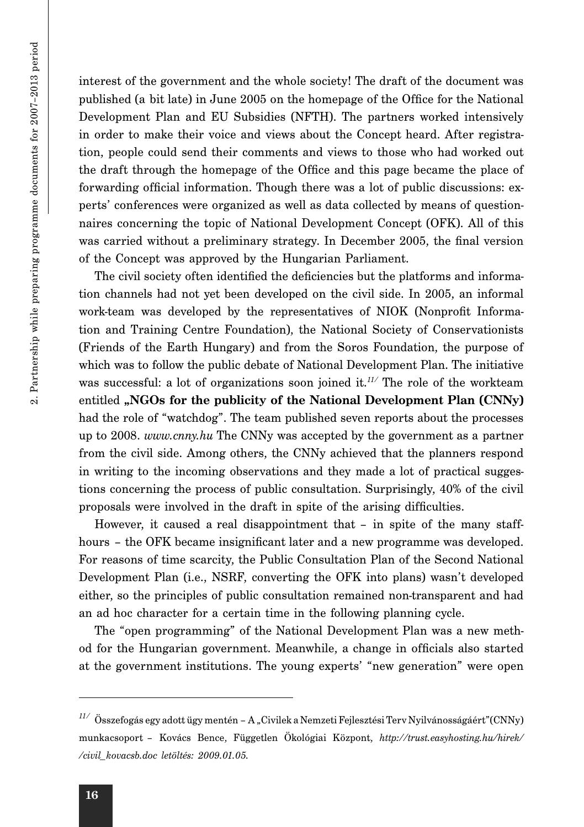2. Partnership while preparing programme documents for 2007-2013 period 2. Partnership while preparing programme documents for 2007–2013 period

interest of the government and the whole society! The draft of the document was published (a bit late) in June 2005 on the homepage of the Office for the National Development Plan and EU Subsidies (NFTH). The partners worked intensively in order to make their voice and views about the Concept heard. After registration, people could send their comments and views to those who had worked out the draft through the homepage of the Office and this page became the place of forwarding official information. Though there was a lot of public discussions: experts' conferences were organized as well as data collected by means of questionnaires concerning the topic of National Development Concept (OFK). All of this was carried without a preliminary strategy. In December 2005, the final version of the Concept was approved by the Hungarian Parliament.

The civil society often identified the deficiencies but the platforms and information channels had not yet been developed on the civil side. In 2005, an informal work-team was developed by the representatives of NIOK (Nonprofit Information and Training Centre Foundation), the National Society of Conservationists (Friends of the Earth Hungary) and from the Soros Foundation, the purpose of which was to follow the public debate of National Development Plan. The initiative was successful: a lot of organizations soon joined it.*11/* The role of the workteam entitled **"NGOs for the publicity of the National Development Plan (CNNy)** had the role of "watchdog". The team published seven reports about the processes up to 2008. *www.cnny.hu* The CNNy was accepted by the government as a partner from the civil side. Among others, the CNNy achieved that the planners respond in writing to the incoming observations and they made a lot of practical suggestions concerning the process of public consultation. Surprisingly, 40% of the civil proposals were involved in the draft in spite of the arising difficulties.

However, it caused a real disappointment that – in spite of the many staffhours – the OFK became insignificant later and a new programme was developed. For reasons of time scarcity, the Public Consultation Plan of the Second National Development Plan (i.e., NSRF, converting the OFK into plans) wasn't developed either, so the principles of public consultation remained non-transparent and had an ad hoc character for a certain time in the following planning cycle.

The "open programming" of the National Development Plan was a new method for the Hungarian government. Meanwhile, a change in officials also started at the government institutions. The young experts' "new generation" were open

 $^{11/}$ Összefogás egy adott ügy mentén – A "Civilek a Nemzeti Fejlesztési Terv Nyilvánosságáért"(CNNy) munkacsoport – Kovács Bence, Független Ökológiai Központ, *http://trust.easyhosting.hu/hirek/ /civil\_kovacsb.doc letöltés: 2009.01.05.*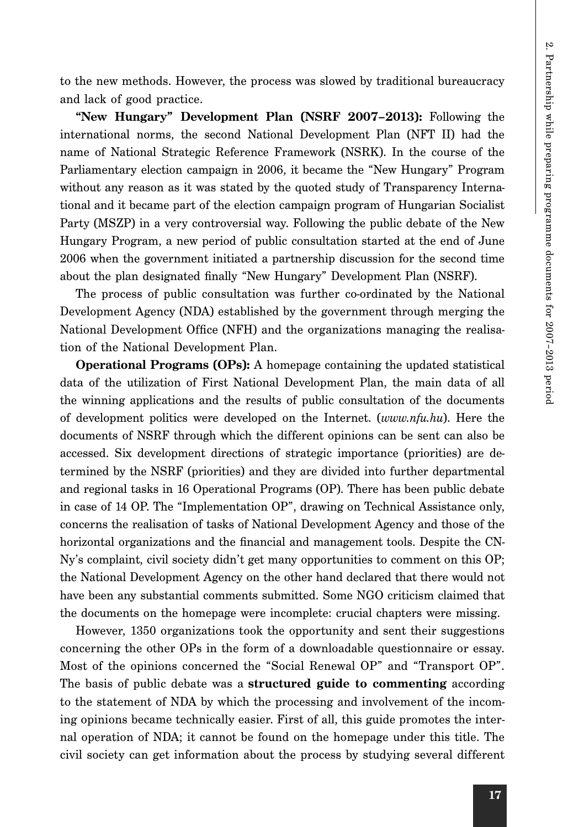to the new methods. However, the process was slowed by traditional bureaucracy and lack of good practice.

**"New Hungary" Development Plan (NSRF 2007–2013):** Following the international norms, the second National Development Plan (NFT II) had the name of National Strategic Reference Framework (NSRK). In the course of the Parliamentary election campaign in 2006, it became the "New Hungary" Program without any reason as it was stated by the quoted study of Transparency International and it became part of the election campaign program of Hungarian Socialist Party (MSZP) in a very controversial way. Following the public debate of the New Hungary Program, a new period of public consultation started at the end of June 2006 when the government initiated a partnership discussion for the second time about the plan designated finally "New Hungary" Development Plan (NSRF).

The process of public consultation was further co-ordinated by the National Development Agency (NDA) established by the government through merging the National Development Office (NFH) and the organizations managing the realisation of the National Development Plan.

**Operational Programs (OPs):** A homepage containing the updated statistical data of the utilization of First National Development Plan, the main data of all the winning applications and the results of public consultation of the documents of development politics were developed on the Internet. (*www.nfu.hu*). Here the documents of NSRF through which the different opinions can be sent can also be accessed. Six development directions of strategic importance (priorities) are determined by the NSRF (priorities) and they are divided into further departmental and regional tasks in 16 Operational Programs (OP). There has been public debate in case of 14 OP. The "Implementation OP", drawing on Technical Assistance only, concerns the realisation of tasks of National Development Agency and those of the horizontal organizations and the financial and management tools. Despite the CN-Ny's complaint, civil society didn't get many opportunities to comment on this OP; the National Development Agency on the other hand declared that there would not have been any substantial comments submitted. Some NGO criticism claimed that the documents on the homepage were incomplete: crucial chapters were missing.

However, 1350 organizations took the opportunity and sent their suggestions concerning the other OPs in the form of a downloadable questionnaire or essay. Most of the opinions concerned the "Social Renewal OP" and "Transport OP". The basis of public debate was a **structured guide to commenting** according to the statement of NDA by which the processing and involvement of the incoming opinions became technically easier. First of all, this guide promotes the internal operation of NDA; it cannot be found on the homepage under this title. The civil society can get information about the process by studying several different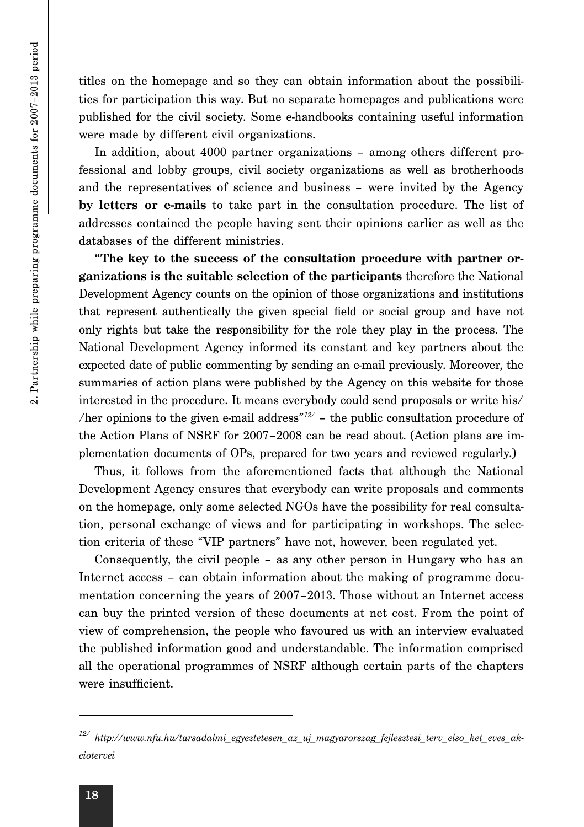titles on the homepage and so they can obtain information about the possibilities for participation this way. But no separate homepages and publications were published for the civil society. Some e-handbooks containing useful information were made by different civil organizations.

In addition, about 4000 partner organizations – among others different professional and lobby groups, civil society organizations as well as brotherhoods and the representatives of science and business – were invited by the Agency **by letters or e-mails** to take part in the consultation procedure. The list of addresses contained the people having sent their opinions earlier as well as the databases of the different ministries.

**"The key to the success of the consultation procedure with partner organizations is the suitable selection of the participants** therefore the National Development Agency counts on the opinion of those organizations and institutions that represent authentically the given special field or social group and have not only rights but take the responsibility for the role they play in the process. The National Development Agency informed its constant and key partners about the expected date of public commenting by sending an e-mail previously. Moreover, the summaries of action plans were published by the Agency on this website for those interested in the procedure. It means everybody could send proposals or write his/ /her opinions to the given e-mail address"*12/* – the public consultation procedure of the Action Plans of NSRF for 2007–2008 can be read about. (Action plans are implementation documents of OPs, prepared for two years and reviewed regularly.)

Thus, it follows from the aforementioned facts that although the National Development Agency ensures that everybody can write proposals and comments on the homepage, only some selected NGOs have the possibility for real consultation, personal exchange of views and for participating in workshops. The selection criteria of these "VIP partners" have not, however, been regulated yet.

Consequently, the civil people – as any other person in Hungary who has an Internet access – can obtain information about the making of programme documentation concerning the years of 2007–2013. Those without an Internet access can buy the printed version of these documents at net cost. From the point of view of comprehension, the people who favoured us with an interview evaluated the published information good and understandable. The information comprised all the operational programmes of NSRF although certain parts of the chapters were insufficient.

*<sup>12/</sup> http://www.nfu.hu/tarsadalmi\_egyeztetesen\_az\_uj\_magyarorszag\_fejlesztesi\_terv\_elso\_ket\_eves\_akciotervei*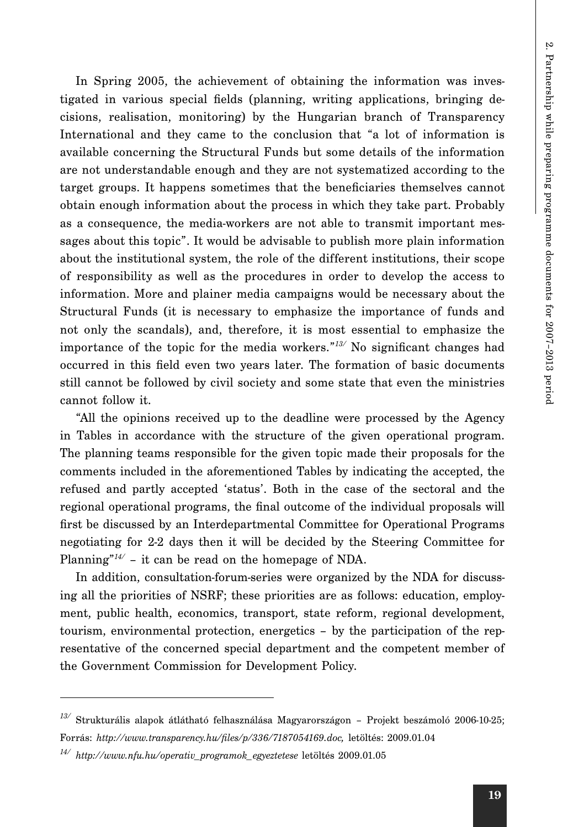In Spring 2005, the achievement of obtaining the information was investigated in various special fields (planning, writing applications, bringing decisions, realisation, monitoring) by the Hungarian branch of Transparency International and they came to the conclusion that "a lot of information is available concerning the Structural Funds but some details of the information are not understandable enough and they are not systematized according to the target groups. It happens sometimes that the beneficiaries themselves cannot obtain enough information about the process in which they take part. Probably as a consequence, the media-workers are not able to transmit important messages about this topic". It would be advisable to publish more plain information about the institutional system, the role of the different institutions, their scope of responsibility as well as the procedures in order to develop the access to information. More and plainer media campaigns would be necessary about the Structural Funds (it is necessary to emphasize the importance of funds and not only the scandals), and, therefore, it is most essential to emphasize the importance of the topic for the media workers."*13/* No significant changes had occurred in this field even two years later. The formation of basic documents still cannot be followed by civil society and some state that even the ministries cannot follow it.

"All the opinions received up to the deadline were processed by the Agency in Tables in accordance with the structure of the given operational program. The planning teams responsible for the given topic made their proposals for the comments included in the aforementioned Tables by indicating the accepted, the refused and partly accepted 'status'. Both in the case of the sectoral and the regional operational programs, the final outcome of the individual proposals will first be discussed by an Interdepartmental Committee for Operational Programs negotiating for 2-2 days then it will be decided by the Steering Committee for Planning"*14/* – it can be read on the homepage of NDA.

In addition, consultation-forum-series were organized by the NDA for discussing all the priorities of NSRF; these priorities are as follows: education, employment, public health, economics, transport, state reform, regional development, tourism, environmental protection, energetics – by the participation of the representative of the concerned special department and the competent member of the Government Commission for Development Policy.

*<sup>13/</sup>* Strukturális alapok átlátható felhasználása Magyarországon – Projekt beszámoló 2006-10-25; Forrás: *http://www.transparency.hu/files/p/336/7187054169.doc,* letöltés: 2009.01.04

*<sup>14/</sup> http://www.nfu.hu/operativ\_programok\_egyeztetese* letöltés 2009.01.05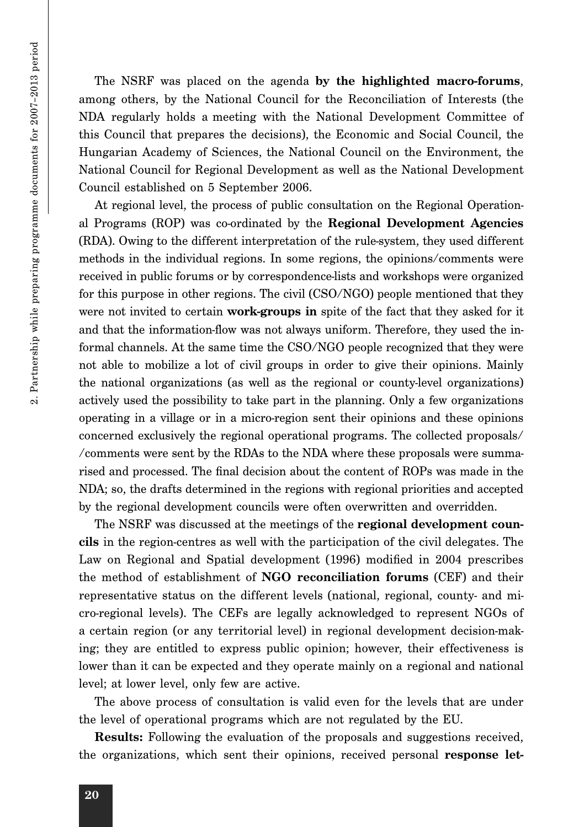2. Partnership while preparing programme documents for 2007-2013 period 2. Partnership while preparing programme documents for 2007–2013 period

The NSRF was placed on the agenda **by the highlighted macro-forums**, among others, by the National Council for the Reconciliation of Interests (the NDA regularly holds a meeting with the National Development Committee of this Council that prepares the decisions), the Economic and Social Council, the Hungarian Academy of Sciences, the National Council on the Environment, the National Council for Regional Development as well as the National Development Council established on 5 September 2006.

At regional level, the process of public consultation on the Regional Operational Programs (ROP) was co-ordinated by the **Regional Development Agencies**  (RDA). Owing to the different interpretation of the rule-system, they used different methods in the individual regions. In some regions, the opinions/comments were received in public forums or by correspondence-lists and workshops were organized for this purpose in other regions. The civil (CSO/NGO) people mentioned that they were not invited to certain **work-groups in** spite of the fact that they asked for it and that the information-flow was not always uniform. Therefore, they used the informal channels. At the same time the CSO/NGO people recognized that they were not able to mobilize a lot of civil groups in order to give their opinions. Mainly the national organizations (as well as the regional or county-level organizations) actively used the possibility to take part in the planning. Only a few organizations operating in a village or in a micro-region sent their opinions and these opinions concerned exclusively the regional operational programs. The collected proposals/ /comments were sent by the RDAs to the NDA where these proposals were summarised and processed. The final decision about the content of ROPs was made in the NDA; so, the drafts determined in the regions with regional priorities and accepted by the regional development councils were often overwritten and overridden.

The NSRF was discussed at the meetings of the **regional development councils** in the region-centres as well with the participation of the civil delegates. The Law on Regional and Spatial development (1996) modified in 2004 prescribes the method of establishment of **NGO reconciliation forums** (CEF) and their representative status on the different levels (national, regional, county- and micro-regional levels). The CEFs are legally acknowledged to represent NGOs of a certain region (or any territorial level) in regional development decision-making; they are entitled to express public opinion; however, their effectiveness is lower than it can be expected and they operate mainly on a regional and national level; at lower level, only few are active.

The above process of consultation is valid even for the levels that are under the level of operational programs which are not regulated by the EU.

**Results:** Following the evaluation of the proposals and suggestions received, the organizations, which sent their opinions, received personal **response let-**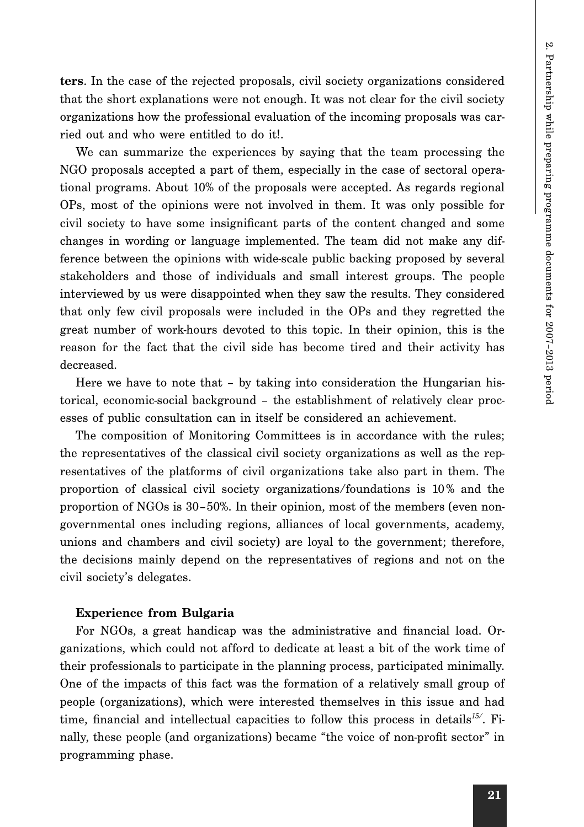**ters**. In the case of the rejected proposals, civil society organizations considered that the short explanations were not enough. It was not clear for the civil society organizations how the professional evaluation of the incoming proposals was carried out and who were entitled to do it!.

We can summarize the experiences by saying that the team processing the NGO proposals accepted a part of them, especially in the case of sectoral operational programs. About 10% of the proposals were accepted. As regards regional OPs, most of the opinions were not involved in them. It was only possible for civil society to have some insignificant parts of the content changed and some changes in wording or language implemented. The team did not make any difference between the opinions with wide-scale public backing proposed by several stakeholders and those of individuals and small interest groups. The people interviewed by us were disappointed when they saw the results. They considered that only few civil proposals were included in the OPs and they regretted the great number of work-hours devoted to this topic. In their opinion, this is the reason for the fact that the civil side has become tired and their activity has decreased.

Here we have to note that – by taking into consideration the Hungarian historical, economic-social background – the establishment of relatively clear processes of public consultation can in itself be considered an achievement.

The composition of Monitoring Committees is in accordance with the rules; the representatives of the classical civil society organizations as well as the representatives of the platforms of civil organizations take also part in them. The proportion of classical civil society organizations/foundations is 10 % and the proportion of NGOs is 30–50%. In their opinion, most of the members (even nongovernmental ones including regions, alliances of local governments, academy, unions and chambers and civil society) are loyal to the government; therefore, the decisions mainly depend on the representatives of regions and not on the civil society's delegates.

#### **Experience from Bulgaria**

For NGOs, a great handicap was the administrative and financial load. Organizations, which could not afford to dedicate at least a bit of the work time of their professionals to participate in the planning process, participated minimally. One of the impacts of this fact was the formation of a relatively small group of people (organizations), which were interested themselves in this issue and had time, financial and intellectual capacities to follow this process in details*15/*. Finally, these people (and organizations) became "the voice of non-profit sector" in programming phase.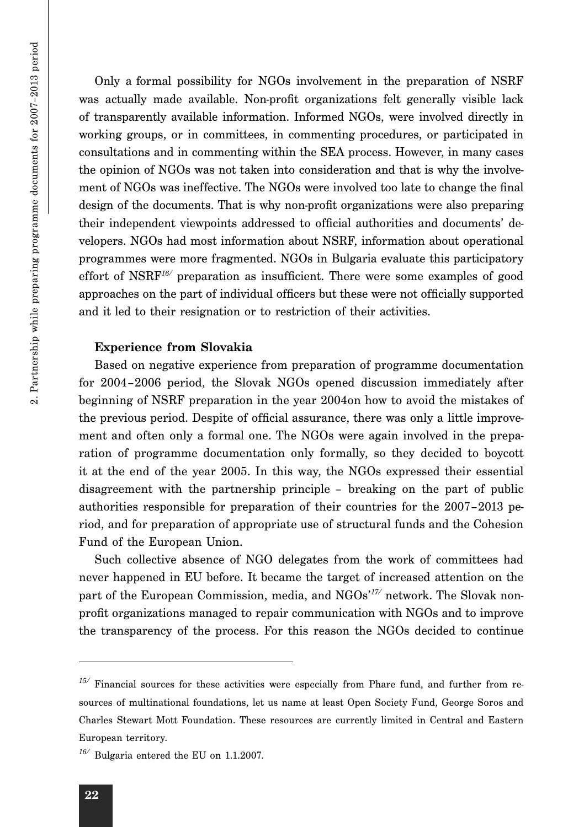Only a formal possibility for NGOs involvement in the preparation of NSRF was actually made available. Non-profit organizations felt generally visible lack of transparently available information. Informed NGOs, were involved directly in working groups, or in committees, in commenting procedures, or participated in consultations and in commenting within the SEA process. However, in many cases the opinion of NGOs was not taken into consideration and that is why the involvement of NGOs was ineffective. The NGOs were involved too late to change the final design of the documents. That is why non-profit organizations were also preparing their independent viewpoints addressed to official authorities and documents' developers. NGOs had most information about NSRF, information about operational programmes were more fragmented. NGOs in Bulgaria evaluate this participatory effort of NSRF*16/* preparation as insufficient. There were some examples of good approaches on the part of individual officers but these were not officially supported and it led to their resignation or to restriction of their activities.

#### **Experience from Slovakia**

Based on negative experience from preparation of programme documentation for 2004–2006 period, the Slovak NGOs opened discussion immediately after beginning of NSRF preparation in the year 2004on how to avoid the mistakes of the previous period. Despite of official assurance, there was only a little improvement and often only a formal one. The NGOs were again involved in the preparation of programme documentation only formally, so they decided to boycott it at the end of the year 2005. In this way, the NGOs expressed their essential disagreement with the partnership principle – breaking on the part of public authorities responsible for preparation of their countries for the 2007–2013 period, and for preparation of appropriate use of structural funds and the Cohesion Fund of the European Union.

Such collective absence of NGO delegates from the work of committees had never happened in EU before. It became the target of increased attention on the part of the European Commission, media, and NGOs'*17/* network. The Slovak nonprofit organizations managed to repair communication with NGOs and to improve the transparency of the process. For this reason the NGOs decided to continue

<sup>&</sup>lt;sup>15/</sup> Financial sources for these activities were especially from Phare fund, and further from resources of multinational foundations, let us name at least Open Society Fund, George Soros and Charles Stewart Mott Foundation. These resources are currently limited in Central and Eastern European territory.

*<sup>16/</sup>* Bulgaria entered the EU on 1.1.2007.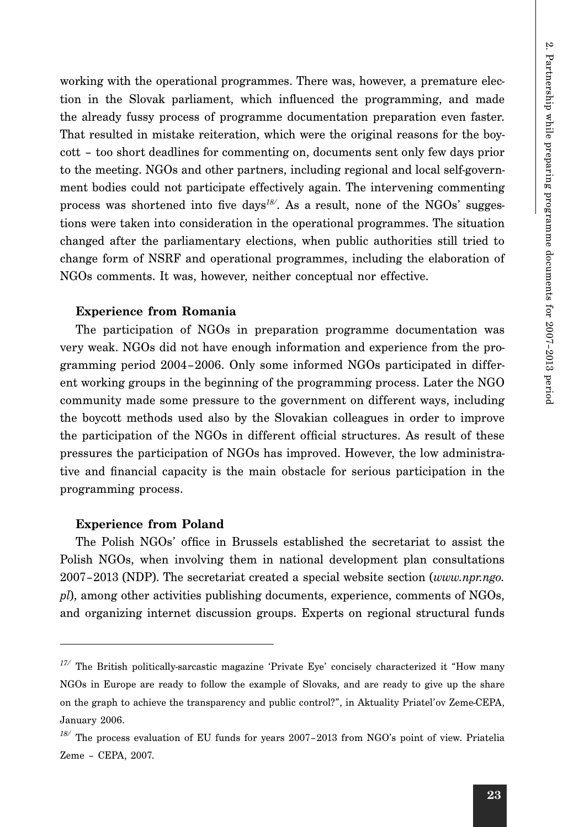working with the operational programmes. There was, however, a premature election in the Slovak parliament, which influenced the programming, and made the already fussy process of programme documentation preparation even faster. That resulted in mistake reiteration, which were the original reasons for the boycott – too short deadlines for commenting on, documents sent only few days prior to the meeting. NGOs and other partners, including regional and local self-government bodies could not participate effectively again. The intervening commenting process was shortened into five days*18/*. As a result, none of the NGOs' suggestions were taken into consideration in the operational programmes. The situation changed after the parliamentary elections, when public authorities still tried to change form of NSRF and operational programmes, including the elaboration of NGOs comments. It was, however, neither conceptual nor effective.

#### **Experience from Romania**

The participation of NGOs in preparation programme documentation was very weak. NGOs did not have enough information and experience from the programming period 2004–2006. Only some informed NGOs participated in different working groups in the beginning of the programming process. Later the NGO community made some pressure to the government on different ways, including the boycott methods used also by the Slovakian colleagues in order to improve the participation of the NGOs in different official structures. As result of these pressures the participation of NGOs has improved. However, the low administrative and financial capacity is the main obstacle for serious participation in the programming process.

#### **Experience from Poland**

The Polish NGOs' office in Brussels established the secretariat to assist the Polish NGOs, when involving them in national development plan consultations 2007–2013 (NDP). The secretariat created a special website section (*www.npr.ngo. pl*), among other activities publishing documents, experience, comments of NGOs, and organizing internet discussion groups. Experts on regional structural funds

<sup>&</sup>lt;sup>17/</sup> The British politically-sarcastic magazine 'Private Eye' concisely characterized it "How many NGOs in Europe are ready to follow the example of Slovaks, and are ready to give up the share on the graph to achieve the transparency and public control?", in Aktuality Priatel'ov Zeme-CEPA, January 2006.

*<sup>18/</sup>* The process evaluation of EU funds for years 2007–2013 from NGO's point of view. Priatelia Zeme – CEPA, 2007.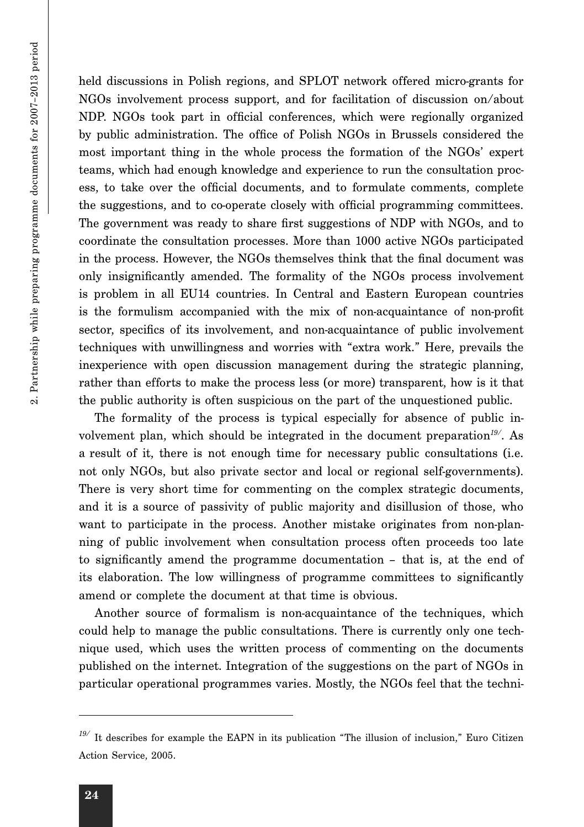held discussions in Polish regions, and SPLOT network offered micro-grants for NGOs involvement process support, and for facilitation of discussion on/about NDP. NGOs took part in official conferences, which were regionally organized by public administration. The office of Polish NGOs in Brussels considered the most important thing in the whole process the formation of the NGOs' expert teams, which had enough knowledge and experience to run the consultation process, to take over the official documents, and to formulate comments, complete the suggestions, and to co-operate closely with official programming committees. The government was ready to share first suggestions of NDP with NGOs, and to coordinate the consultation processes. More than 1000 active NGOs participated in the process. However, the NGOs themselves think that the final document was only insignificantly amended. The formality of the NGOs process involvement is problem in all EU14 countries. In Central and Eastern European countries is the formulism accompanied with the mix of non-acquaintance of non-profit sector, specifics of its involvement, and non-acquaintance of public involvement techniques with unwillingness and worries with "extra work." Here, prevails the inexperience with open discussion management during the strategic planning, rather than efforts to make the process less (or more) transparent, how is it that the public authority is often suspicious on the part of the unquestioned public.

The formality of the process is typical especially for absence of public involvement plan, which should be integrated in the document preparation*19/*. As a result of it, there is not enough time for necessary public consultations (i.e. not only NGOs, but also private sector and local or regional self-governments). There is very short time for commenting on the complex strategic documents, and it is a source of passivity of public majority and disillusion of those, who want to participate in the process. Another mistake originates from non-planning of public involvement when consultation process often proceeds too late to significantly amend the programme documentation – that is, at the end of its elaboration. The low willingness of programme committees to significantly amend or complete the document at that time is obvious.

Another source of formalism is non-acquaintance of the techniques, which could help to manage the public consultations. There is currently only one technique used, which uses the written process of commenting on the documents published on the internet. Integration of the suggestions on the part of NGOs in particular operational programmes varies. Mostly, the NGOs feel that the techni-

<sup>&</sup>lt;sup>19/</sup> It describes for example the EAPN in its publication "The illusion of inclusion," Euro Citizen Action Service, 2005.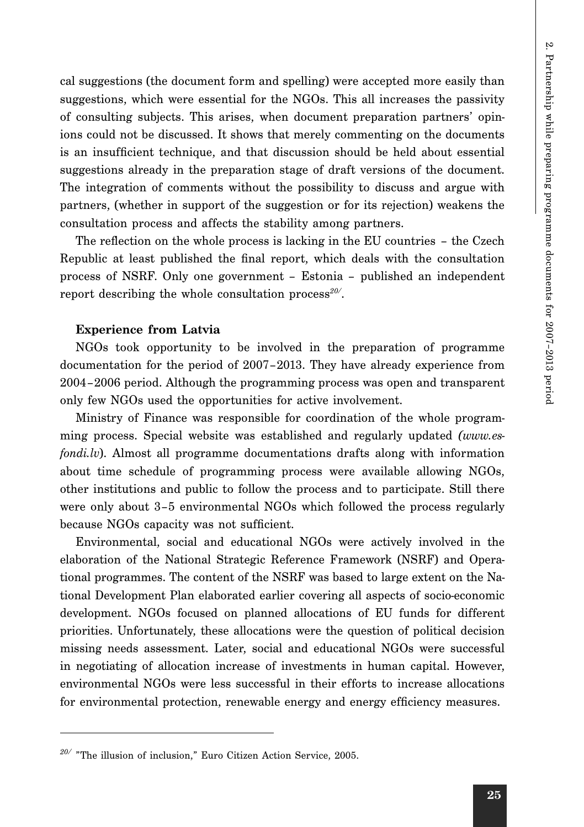cal suggestions (the document form and spelling) were accepted more easily than suggestions, which were essential for the NGOs. This all increases the passivity of consulting subjects. This arises, when document preparation partners' opinions could not be discussed. It shows that merely commenting on the documents is an insufficient technique, and that discussion should be held about essential suggestions already in the preparation stage of draft versions of the document. The integration of comments without the possibility to discuss and argue with partners, (whether in support of the suggestion or for its rejection) weakens the consultation process and affects the stability among partners.

The reflection on the whole process is lacking in the EU countries – the Czech Republic at least published the final report, which deals with the consultation process of NSRF. Only one government – Estonia – published an independent report describing the whole consultation process*20/*.

#### **Experience from Latvia**

NGOs took opportunity to be involved in the preparation of programme documentation for the period of 2007–2013. They have already experience from 2004–2006 period. Although the programming process was open and transparent only few NGOs used the opportunities for active involvement.

Ministry of Finance was responsible for coordination of the whole programming process. Special website was established and regularly updated *(www.esfondi.lv*). Almost all programme documentations drafts along with information about time schedule of programming process were available allowing NGOs, other institutions and public to follow the process and to participate. Still there were only about 3–5 environmental NGOs which followed the process regularly because NGOs capacity was not sufficient.

Environmental, social and educational NGOs were actively involved in the elaboration of the National Strategic Reference Framework (NSRF) and Operational programmes. The content of the NSRF was based to large extent on the National Development Plan elaborated earlier covering all aspects of socio-economic development. NGOs focused on planned allocations of EU funds for different priorities. Unfortunately, these allocations were the question of political decision missing needs assessment. Later, social and educational NGOs were successful in negotiating of allocation increase of investments in human capital. However, environmental NGOs were less successful in their efforts to increase allocations for environmental protection, renewable energy and energy efficiency measures.

*<sup>20/</sup>* "The illusion of inclusion," Euro Citizen Action Service, 2005.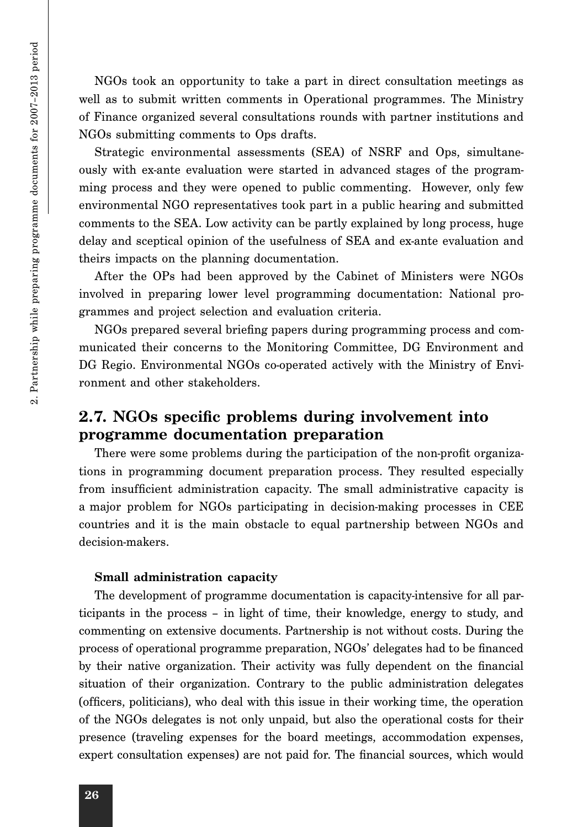NGOs took an opportunity to take a part in direct consultation meetings as well as to submit written comments in Operational programmes. The Ministry of Finance organized several consultations rounds with partner institutions and NGOs submitting comments to Ops drafts.

Strategic environmental assessments (SEA) of NSRF and Ops, simultaneously with ex-ante evaluation were started in advanced stages of the programming process and they were opened to public commenting. However, only few environmental NGO representatives took part in a public hearing and submitted comments to the SEA. Low activity can be partly explained by long process, huge delay and sceptical opinion of the usefulness of SEA and ex-ante evaluation and theirs impacts on the planning documentation.

After the OPs had been approved by the Cabinet of Ministers were NGOs involved in preparing lower level programming documentation: National programmes and project selection and evaluation criteria.

NGOs prepared several briefing papers during programming process and communicated their concerns to the Monitoring Committee, DG Environment and DG Regio. Environmental NGOs co-operated actively with the Ministry of Environment and other stakeholders.

#### **2.7. NGOs specific problems during involvement into programme documentation preparation**

There were some problems during the participation of the non-profit organizations in programming document preparation process. They resulted especially from insufficient administration capacity. The small administrative capacity is a major problem for NGOs participating in decision-making processes in CEE countries and it is the main obstacle to equal partnership between NGOs and decision-makers.

#### **Small administration capacity**

The development of programme documentation is capacity-intensive for all participants in the process – in light of time, their knowledge, energy to study, and commenting on extensive documents. Partnership is not without costs. During the process of operational programme preparation, NGOs' delegates had to be financed by their native organization. Their activity was fully dependent on the financial situation of their organization. Contrary to the public administration delegates (officers, politicians), who deal with this issue in their working time, the operation of the NGOs delegates is not only unpaid, but also the operational costs for their presence (traveling expenses for the board meetings, accommodation expenses, expert consultation expenses) are not paid for. The financial sources, which would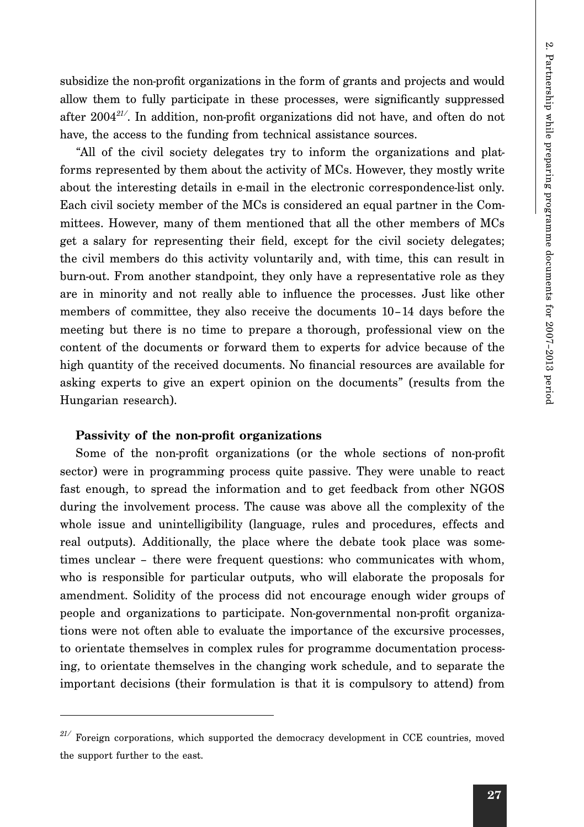subsidize the non-profit organizations in the form of grants and projects and would allow them to fully participate in these processes, were significantly suppressed after 2004*21/*. In addition, non-profit organizations did not have, and often do not have, the access to the funding from technical assistance sources.

"All of the civil society delegates try to inform the organizations and platforms represented by them about the activity of MCs. However, they mostly write about the interesting details in e-mail in the electronic correspondence-list only. Each civil society member of the MCs is considered an equal partner in the Committees. However, many of them mentioned that all the other members of MCs get a salary for representing their field, except for the civil society delegates; the civil members do this activity voluntarily and, with time, this can result in burn-out. From another standpoint, they only have a representative role as they are in minority and not really able to influence the processes. Just like other members of committee, they also receive the documents 10–14 days before the meeting but there is no time to prepare a thorough, professional view on the content of the documents or forward them to experts for advice because of the high quantity of the received documents. No financial resources are available for asking experts to give an expert opinion on the documents" (results from the Hungarian research).

#### **Passivity of the non-profit organizations**

Some of the non-profit organizations (or the whole sections of non-profit sector) were in programming process quite passive. They were unable to react fast enough, to spread the information and to get feedback from other NGOS during the involvement process. The cause was above all the complexity of the whole issue and unintelligibility (language, rules and procedures, effects and real outputs). Additionally, the place where the debate took place was sometimes unclear – there were frequent questions: who communicates with whom, who is responsible for particular outputs, who will elaborate the proposals for amendment. Solidity of the process did not encourage enough wider groups of people and organizations to participate. Non-governmental non-profit organizations were not often able to evaluate the importance of the excursive processes, to orientate themselves in complex rules for programme documentation processing, to orientate themselves in the changing work schedule, and to separate the important decisions (their formulation is that it is compulsory to attend) from

*<sup>21/</sup>* Foreign corporations, which supported the democracy development in CCE countries, moved the support further to the east.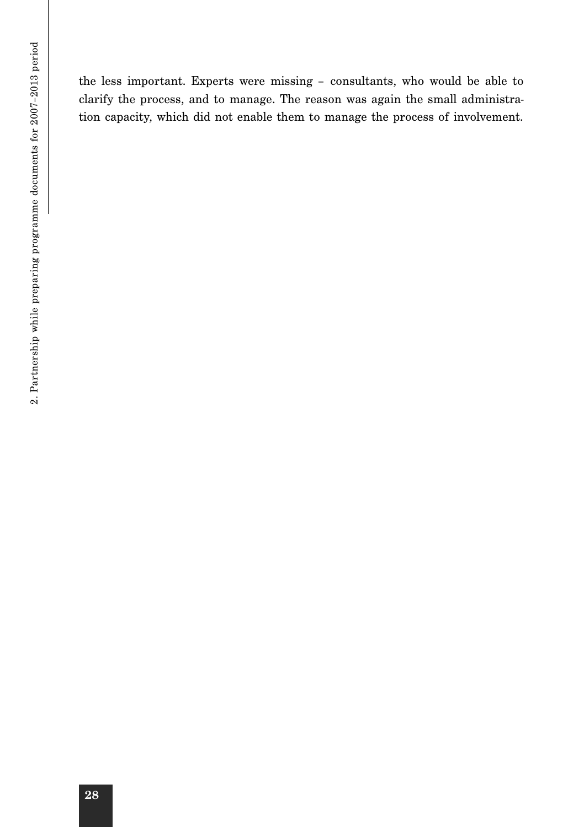the less important. Experts were missing – consultants, who would be able to clarify the process, and to manage. The reason was again the small administration capacity, which did not enable them to manage the process of involvement.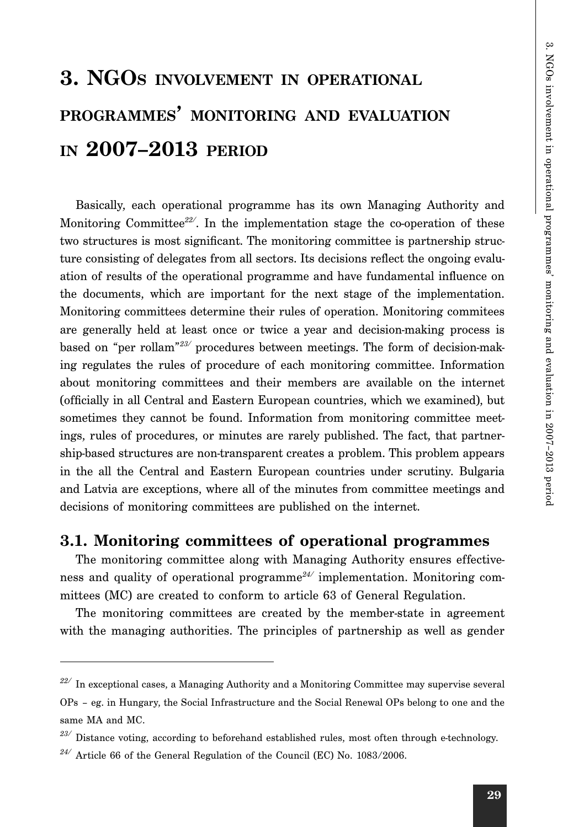# **3. NGOS INVOLVEMENT IN OPERATIONAL PROGRAMMES' MONITORING AND EVALUATION IN 2007–2013 PERIOD**

Basically, each operational programme has its own Managing Authority and Monitoring Committee*22/*. In the implementation stage the co-operation of these two structures is most significant. The monitoring committee is partnership structure consisting of delegates from all sectors. Its decisions reflect the ongoing evaluation of results of the operational programme and have fundamental influence on the documents, which are important for the next stage of the implementation. Monitoring committees determine their rules of operation. Monitoring commitees are generally held at least once or twice a year and decision-making process is based on "per rollam"*23/* procedures between meetings. The form of decision-making regulates the rules of procedure of each monitoring committee. Information about monitoring committees and their members are available on the internet (officially in all Central and Eastern European countries, which we examined), but sometimes they cannot be found. Information from monitoring committee meetings, rules of procedures, or minutes are rarely published. The fact, that partnership-based structures are non-transparent creates a problem. This problem appears in the all the Central and Eastern European countries under scrutiny. Bulgaria and Latvia are exceptions, where all of the minutes from committee meetings and decisions of monitoring committees are published on the internet.

#### **3.1. Monitoring committees of operational programmes**

The monitoring committee along with Managing Authority ensures effectiveness and quality of operational programme*24/* implementation. Monitoring committees (MC) are created to conform to article 63 of General Regulation.

The monitoring committees are created by the member-state in agreement with the managing authorities. The principles of partnership as well as gender

*<sup>22/</sup>* In exceptional cases, a Managing Authority and a Monitoring Committee may supervise several OPs – eg. in Hungary, the Social Infrastructure and the Social Renewal OPs belong to one and the same MA and MC.

<sup>&</sup>lt;sup>23/</sup> Distance voting, according to beforehand established rules, most often through e-technology.

*<sup>24/</sup>* Article 66 of the General Regulation of the Council (EC) No. 1083/2006.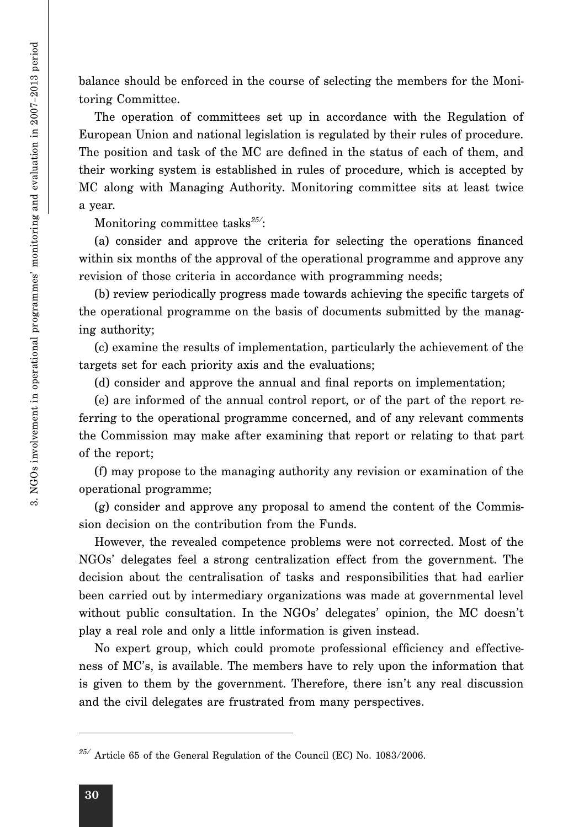balance should be enforced in the course of selecting the members for the Monitoring Committee.

The operation of committees set up in accordance with the Regulation of European Union and national legislation is regulated by their rules of procedure. The position and task of the MC are defined in the status of each of them, and their working system is established in rules of procedure, which is accepted by MC along with Managing Authority. Monitoring committee sits at least twice a year.

Monitoring committee tasks*25/*:

(a) consider and approve the criteria for selecting the operations financed within six months of the approval of the operational programme and approve any revision of those criteria in accordance with programming needs;

(b) review periodically progress made towards achieving the specific targets of the operational programme on the basis of documents submitted by the managing authority;

(c) examine the results of implementation, particularly the achievement of the targets set for each priority axis and the evaluations;

(d) consider and approve the annual and final reports on implementation;

(e) are informed of the annual control report, or of the part of the report referring to the operational programme concerned, and of any relevant comments the Commission may make after examining that report or relating to that part of the report;

(f) may propose to the managing authority any revision or examination of the operational programme;

(g) consider and approve any proposal to amend the content of the Commission decision on the contribution from the Funds.

However, the revealed competence problems were not corrected. Most of the NGOs' delegates feel a strong centralization effect from the government. The decision about the centralisation of tasks and responsibilities that had earlier been carried out by intermediary organizations was made at governmental level without public consultation. In the NGOs' delegates' opinion, the MC doesn't play a real role and only a little information is given instead.

No expert group, which could promote professional efficiency and effectiveness of MC's, is available. The members have to rely upon the information that is given to them by the government. Therefore, there isn't any real discussion and the civil delegates are frustrated from many perspectives.

*<sup>25/</sup>* Article 65 of the General Regulation of the Council (EC) No. 1083/2006.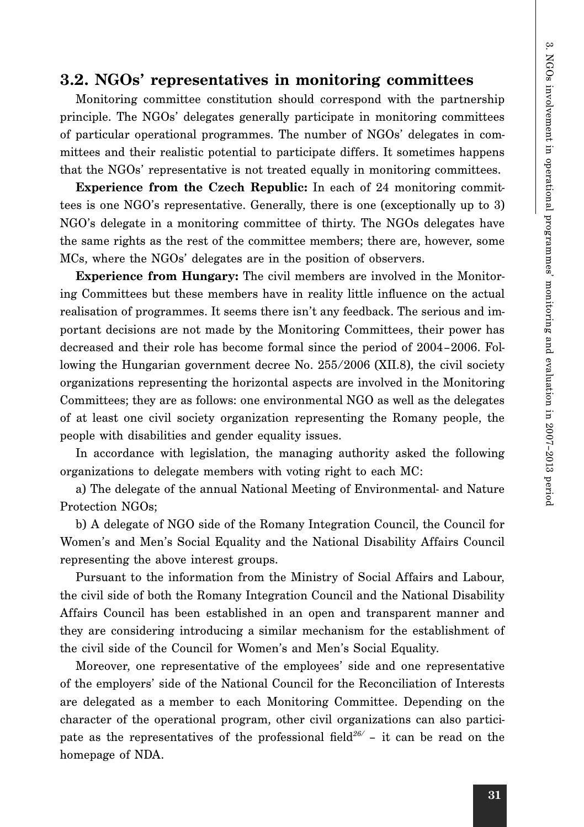#### **3.2. NGOs' representatives in monitoring committees**

Monitoring committee constitution should correspond with the partnership principle. The NGOs' delegates generally participate in monitoring committees of particular operational programmes. The number of NGOs' delegates in committees and their realistic potential to participate differs. It sometimes happens that the NGOs' representative is not treated equally in monitoring committees.

**Experience from the Czech Republic:** In each of 24 monitoring committees is one NGO's representative. Generally, there is one (exceptionally up to 3) NGO's delegate in a monitoring committee of thirty. The NGOs delegates have the same rights as the rest of the committee members; there are, however, some MCs, where the NGOs' delegates are in the position of observers.

**Experience from Hungary:** The civil members are involved in the Monitoring Committees but these members have in reality little influence on the actual realisation of programmes. It seems there isn't any feedback. The serious and important decisions are not made by the Monitoring Committees, their power has decreased and their role has become formal since the period of 2004–2006. Following the Hungarian government decree No. 255/2006 (XII.8), the civil society organizations representing the horizontal aspects are involved in the Monitoring Committees; they are as follows: one environmental NGO as well as the delegates of at least one civil society organization representing the Romany people, the people with disabilities and gender equality issues.

In accordance with legislation, the managing authority asked the following organizations to delegate members with voting right to each MC:

a) The delegate of the annual National Meeting of Environmental- and Nature Protection NGOs;

b) A delegate of NGO side of the Romany Integration Council, the Council for Women's and Men's Social Equality and the National Disability Affairs Council representing the above interest groups.

Pursuant to the information from the Ministry of Social Affairs and Labour, the civil side of both the Romany Integration Council and the National Disability Affairs Council has been established in an open and transparent manner and they are considering introducing a similar mechanism for the establishment of the civil side of the Council for Women's and Men's Social Equality.

Moreover, one representative of the employees' side and one representative of the employers' side of the National Council for the Reconciliation of Interests are delegated as a member to each Monitoring Committee. Depending on the character of the operational program, other civil organizations can also participate as the representatives of the professional field*26/* – it can be read on the homepage of NDA.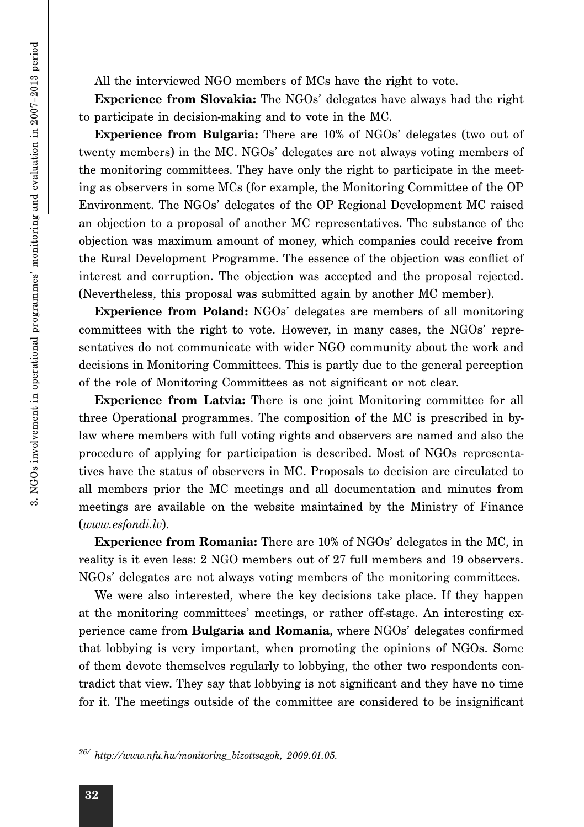All the interviewed NGO members of MCs have the right to vote.

**Experience from Slovakia:** The NGOs' delegates have always had the right to participate in decision-making and to vote in the MC.

**Experience from Bulgaria:** There are 10% of NGOs' delegates (two out of twenty members) in the MC. NGOs' delegates are not always voting members of the monitoring committees. They have only the right to participate in the meeting as observers in some MCs (for example, the Monitoring Committee of the OP Environment. The NGOs' delegates of the OP Regional Development MC raised an objection to a proposal of another MC representatives. The substance of the objection was maximum amount of money, which companies could receive from the Rural Development Programme. The essence of the objection was conflict of interest and corruption. The objection was accepted and the proposal rejected. (Nevertheless, this proposal was submitted again by another MC member).

**Experience from Poland:** NGOs' delegates are members of all monitoring committees with the right to vote. However, in many cases, the NGOs' representatives do not communicate with wider NGO community about the work and decisions in Monitoring Committees. This is partly due to the general perception of the role of Monitoring Committees as not significant or not clear.

**Experience from Latvia:** There is one joint Monitoring committee for all three Operational programmes. The composition of the MC is prescribed in bylaw where members with full voting rights and observers are named and also the procedure of applying for participation is described. Most of NGOs representatives have the status of observers in MC. Proposals to decision are circulated to all members prior the MC meetings and all documentation and minutes from meetings are available on the website maintained by the Ministry of Finance (*www.esfondi.lv*).

**Experience from Romania:** There are 10% of NGOs' delegates in the MC, in reality is it even less: 2 NGO members out of 27 full members and 19 observers. NGOs' delegates are not always voting members of the monitoring committees.

We were also interested, where the key decisions take place. If they happen at the monitoring committees' meetings, or rather off-stage. An interesting experience came from **Bulgaria and Romania**, where NGOs' delegates confirmed that lobbying is very important, when promoting the opinions of NGOs. Some of them devote themselves regularly to lobbying, the other two respondents contradict that view. They say that lobbying is not significant and they have no time for it. The meetings outside of the committee are considered to be insignificant

*<sup>26/</sup> http://www.nfu.hu/monitoring\_bizottsagok, 2009.01.05.*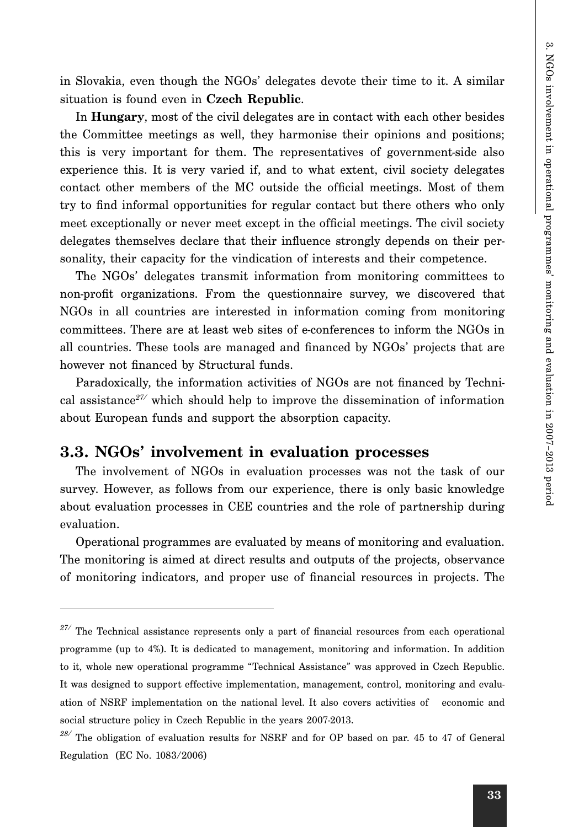in Slovakia, even though the NGOs' delegates devote their time to it. A similar situation is found even in **Czech Republic**.

In **Hungary**, most of the civil delegates are in contact with each other besides the Committee meetings as well, they harmonise their opinions and positions; this is very important for them. The representatives of government-side also experience this. It is very varied if, and to what extent, civil society delegates contact other members of the MC outside the official meetings. Most of them try to find informal opportunities for regular contact but there others who only meet exceptionally or never meet except in the official meetings. The civil society delegates themselves declare that their influence strongly depends on their personality, their capacity for the vindication of interests and their competence.

The NGOs' delegates transmit information from monitoring committees to non-profit organizations. From the questionnaire survey, we discovered that NGOs in all countries are interested in information coming from monitoring committees. There are at least web sites of e-conferences to inform the NGOs in all countries. These tools are managed and financed by NGOs' projects that are however not financed by Structural funds.

Paradoxically, the information activities of NGOs are not financed by Technical assistance*27/* which should help to improve the dissemination of information about European funds and support the absorption capacity.

#### **3.3. NGOs' involvement in evaluation processes**

The involvement of NGOs in evaluation processes was not the task of our survey. However, as follows from our experience, there is only basic knowledge about evaluation processes in CEE countries and the role of partnership during evaluation.

Operational programmes are evaluated by means of monitoring and evaluation. The monitoring is aimed at direct results and outputs of the projects, observance of monitoring indicators, and proper use of financial resources in projects. The

<sup>&</sup>lt;sup>27/</sup> The Technical assistance represents only a part of financial resources from each operational programme (up to 4%). It is dedicated to management, monitoring and information. In addition to it, whole new operational programme "Technical Assistance" was approved in Czech Republic. It was designed to support effective implementation, management, control, monitoring and evaluation of NSRF implementation on the national level. It also covers activities of economic and social structure policy in Czech Republic in the years 2007-2013.

*<sup>28/</sup>* The obligation of evaluation results for NSRF and for OP based on par. 45 to 47 of General Regulation (EC No. 1083/2006)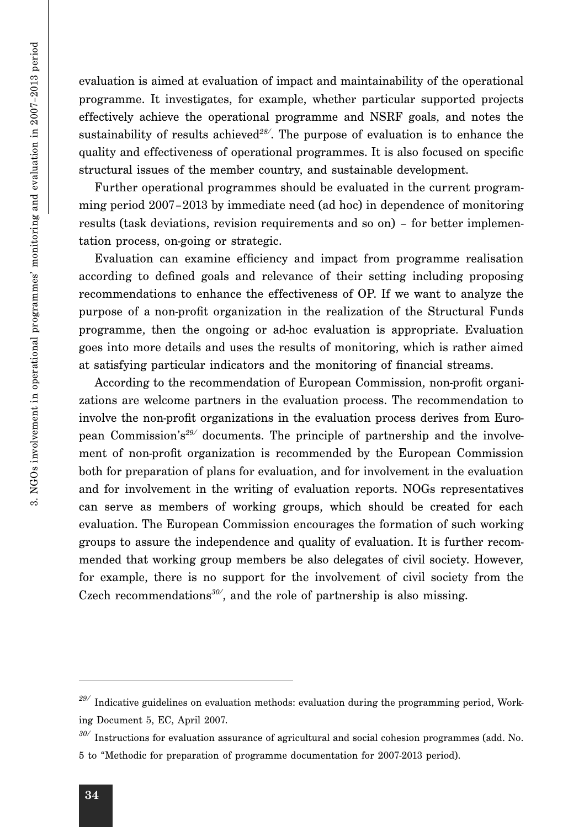evaluation is aimed at evaluation of impact and maintainability of the operational programme. It investigates, for example, whether particular supported projects effectively achieve the operational programme and NSRF goals, and notes the sustainability of results achieved*28/*. The purpose of evaluation is to enhance the quality and effectiveness of operational programmes. It is also focused on specific structural issues of the member country, and sustainable development.

Further operational programmes should be evaluated in the current programming period 2007–2013 by immediate need (ad hoc) in dependence of monitoring results (task deviations, revision requirements and so on) – for better implementation process, on-going or strategic.

Evaluation can examine efficiency and impact from programme realisation according to defined goals and relevance of their setting including proposing recommendations to enhance the effectiveness of OP. If we want to analyze the purpose of a non-profit organization in the realization of the Structural Funds programme, then the ongoing or ad-hoc evaluation is appropriate. Evaluation goes into more details and uses the results of monitoring, which is rather aimed at satisfying particular indicators and the monitoring of financial streams.

According to the recommendation of European Commission, non-profit organizations are welcome partners in the evaluation process. The recommendation to involve the non-profit organizations in the evaluation process derives from European Commission's*29/* documents. The principle of partnership and the involvement of non-profit organization is recommended by the European Commission both for preparation of plans for evaluation, and for involvement in the evaluation and for involvement in the writing of evaluation reports. NOGs representatives can serve as members of working groups, which should be created for each evaluation. The European Commission encourages the formation of such working groups to assure the independence and quality of evaluation. It is further recommended that working group members be also delegates of civil society. However, for example, there is no support for the involvement of civil society from the Czech recommendations*30/*, and the role of partnership is also missing.

*30/* Instructions for evaluation assurance of agricultural and social cohesion programmes (add. No.

*<sup>29/</sup>* Indicative guidelines on evaluation methods: evaluation during the programming period, Working Document 5, EC, April 2007.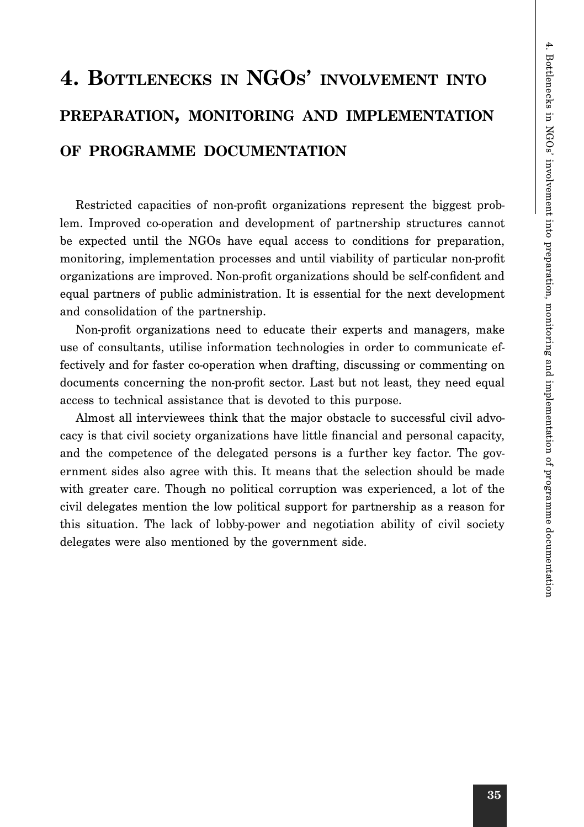# **4. BOTTLENECKS IN NGOS' INVOLVEMENT INTO PREPARATION, MONITORING AND IMPLEMENTATION OF PROGRAMME DOCUMENTATION**

Restricted capacities of non-profit organizations represent the biggest problem. Improved co-operation and development of partnership structures cannot be expected until the NGOs have equal access to conditions for preparation, monitoring, implementation processes and until viability of particular non-profit organizations are improved. Non-profit organizations should be self-confident and equal partners of public administration. It is essential for the next development and consolidation of the partnership.

Non-profit organizations need to educate their experts and managers, make use of consultants, utilise information technologies in order to communicate effectively and for faster co-operation when drafting, discussing or commenting on documents concerning the non-profit sector. Last but not least, they need equal access to technical assistance that is devoted to this purpose.

Almost all interviewees think that the major obstacle to successful civil advocacy is that civil society organizations have little financial and personal capacity, and the competence of the delegated persons is a further key factor. The government sides also agree with this. It means that the selection should be made with greater care. Though no political corruption was experienced, a lot of the civil delegates mention the low political support for partnership as a reason for this situation. The lack of lobby-power and negotiation ability of civil society delegates were also mentioned by the government side.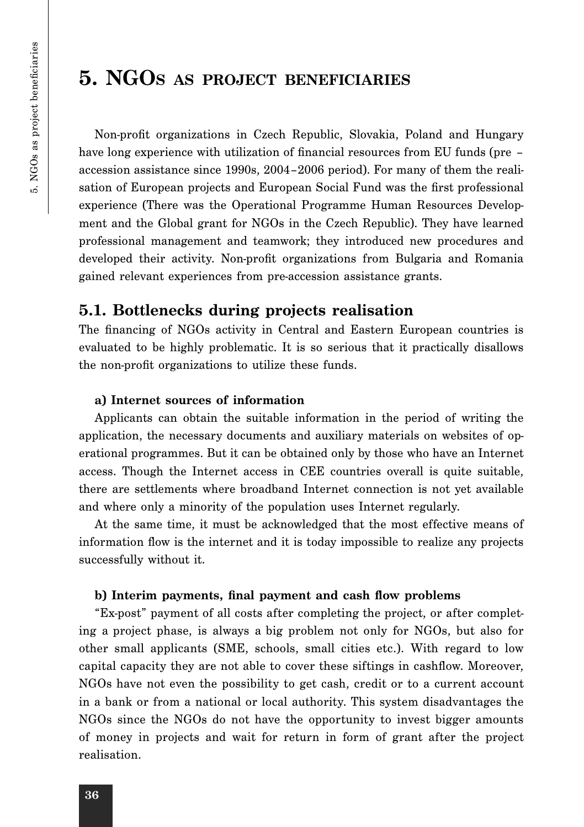## **5. NGOS AS PROJECT BENEFICIARIES**

Non-profit organizations in Czech Republic, Slovakia, Poland and Hungary have long experience with utilization of financial resources from EU funds (pre – accession assistance since 1990s, 2004–2006 period). For many of them the realisation of European projects and European Social Fund was the first professional experience (There was the Operational Programme Human Resources Development and the Global grant for NGOs in the Czech Republic). They have learned professional management and teamwork; they introduced new procedures and developed their activity. Non-profit organizations from Bulgaria and Romania gained relevant experiences from pre-accession assistance grants.

#### **5.1. Bottlenecks during projects realisation**

The financing of NGOs activity in Central and Eastern European countries is evaluated to be highly problematic. It is so serious that it practically disallows the non-profit organizations to utilize these funds.

#### **a) Internet sources of information**

Applicants can obtain the suitable information in the period of writing the application, the necessary documents and auxiliary materials on websites of operational programmes. But it can be obtained only by those who have an Internet access. Though the Internet access in CEE countries overall is quite suitable, there are settlements where broadband Internet connection is not yet available and where only a minority of the population uses Internet regularly.

At the same time, it must be acknowledged that the most effective means of information flow is the internet and it is today impossible to realize any projects successfully without it.

#### **b) Interim payments, final payment and cash flow problems**

"Ex-post" payment of all costs after completing the project, or after completing a project phase, is always a big problem not only for NGOs, but also for other small applicants (SME, schools, small cities etc.). With regard to low capital capacity they are not able to cover these siftings in cashflow. Moreover, NGOs have not even the possibility to get cash, credit or to a current account in a bank or from a national or local authority. This system disadvantages the NGOs since the NGOs do not have the opportunity to invest bigger amounts of money in projects and wait for return in form of grant after the project realisation.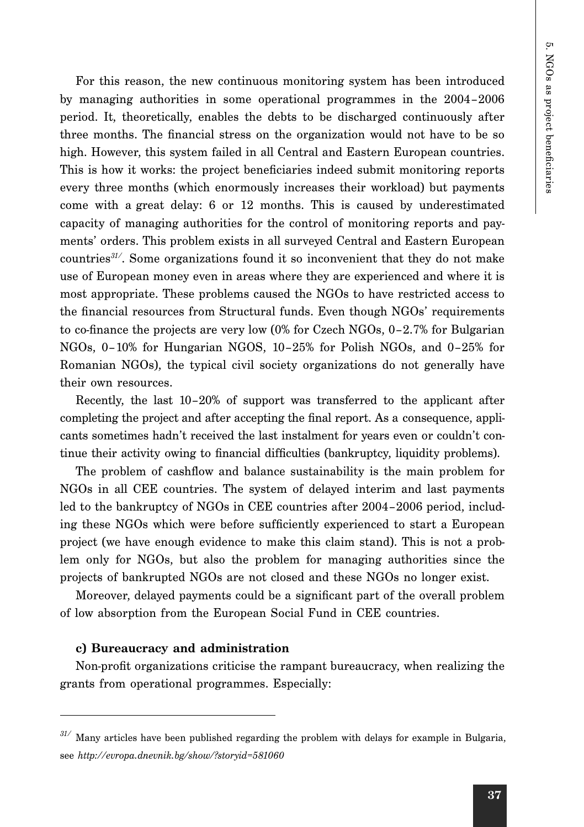For this reason, the new continuous monitoring system has been introduced by managing authorities in some operational programmes in the 2004–2006 period. It, theoretically, enables the debts to be discharged continuously after three months. The financial stress on the organization would not have to be so high. However, this system failed in all Central and Eastern European countries. This is how it works: the project beneficiaries indeed submit monitoring reports every three months (which enormously increases their workload) but payments come with a great delay: 6 or 12 months. This is caused by underestimated capacity of managing authorities for the control of monitoring reports and payments' orders. This problem exists in all surveyed Central and Eastern European countries*31/*. Some organizations found it so inconvenient that they do not make use of European money even in areas where they are experienced and where it is most appropriate. These problems caused the NGOs to have restricted access to the financial resources from Structural funds. Even though NGOs' requirements to co-finance the projects are very low (0% for Czech NGOs, 0–2.7% for Bulgarian NGOs, 0–10% for Hungarian NGOS, 10–25% for Polish NGOs, and 0–25% for Romanian NGOs), the typical civil society organizations do not generally have their own resources.

Recently, the last 10–20% of support was transferred to the applicant after completing the project and after accepting the final report. As a consequence, applicants sometimes hadn't received the last instalment for years even or couldn't continue their activity owing to financial difficulties (bankruptcy, liquidity problems).

The problem of cashflow and balance sustainability is the main problem for NGOs in all CEE countries. The system of delayed interim and last payments led to the bankruptcy of NGOs in CEE countries after 2004–2006 period, including these NGOs which were before sufficiently experienced to start a European project (we have enough evidence to make this claim stand). This is not a problem only for NGOs, but also the problem for managing authorities since the projects of bankrupted NGOs are not closed and these NGOs no longer exist.

Moreover, delayed payments could be a significant part of the overall problem of low absorption from the European Social Fund in CEE countries.

#### **c) Bureaucracy and administration**

Non-profit organizations criticise the rampant bureaucracy, when realizing the grants from operational programmes. Especially:

*<sup>31/</sup>* Many articles have been published regarding the problem with delays for example in Bulgaria, see *http://evropa.dnevnik.bg/show/?storyid=581060*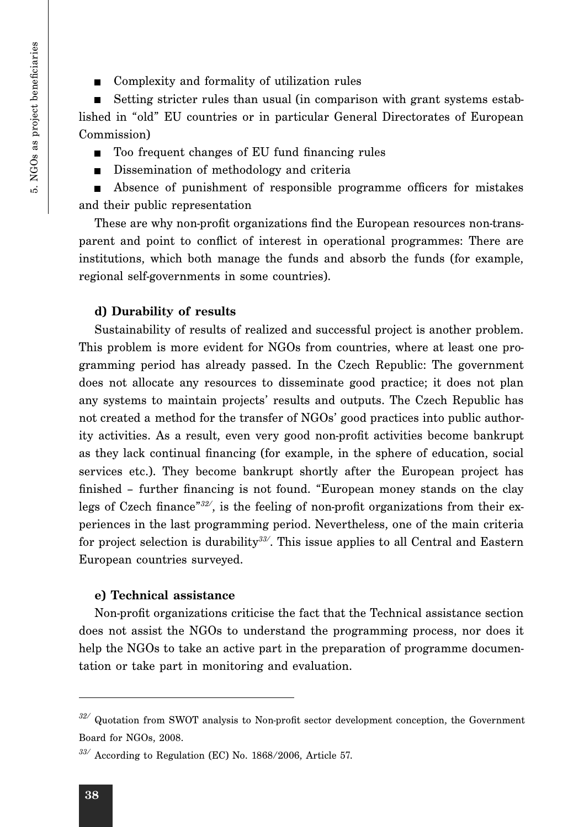■ Complexity and formality of utilization rules

 Setting stricter rules than usual (in comparison with grant systems established in "old" EU countries or in particular General Directorates of European Commission)

■ Too frequent changes of EU fund financing rules

Dissemination of methodology and criteria

 Absence of punishment of responsible programme officers for mistakes and their public representation

These are why non-profit organizations find the European resources non-transparent and point to conflict of interest in operational programmes: There are institutions, which both manage the funds and absorb the funds (for example, regional self-governments in some countries).

#### **d) Durability of results**

Sustainability of results of realized and successful project is another problem. This problem is more evident for NGOs from countries, where at least one programming period has already passed. In the Czech Republic: The government does not allocate any resources to disseminate good practice; it does not plan any systems to maintain projects' results and outputs. The Czech Republic has not created a method for the transfer of NGOs' good practices into public authority activities. As a result, even very good non-profit activities become bankrupt as they lack continual financing (for example, in the sphere of education, social services etc.). They become bankrupt shortly after the European project has finished – further financing is not found. "European money stands on the clay legs of Czech finance"*32/*, is the feeling of non-profit organizations from their experiences in the last programming period. Nevertheless, one of the main criteria for project selection is durability*33/*. This issue applies to all Central and Eastern European countries surveyed.

#### **e) Technical assistance**

Non-profit organizations criticise the fact that the Technical assistance section does not assist the NGOs to understand the programming process, nor does it help the NGOs to take an active part in the preparation of programme documentation or take part in monitoring and evaluation.

*<sup>32/</sup>* Quotation from SWOT analysis to Non-profit sector development conception, the Government Board for NGOs, 2008.

*<sup>33/</sup>* According to Regulation (EC) No. 1868/2006, Article 57.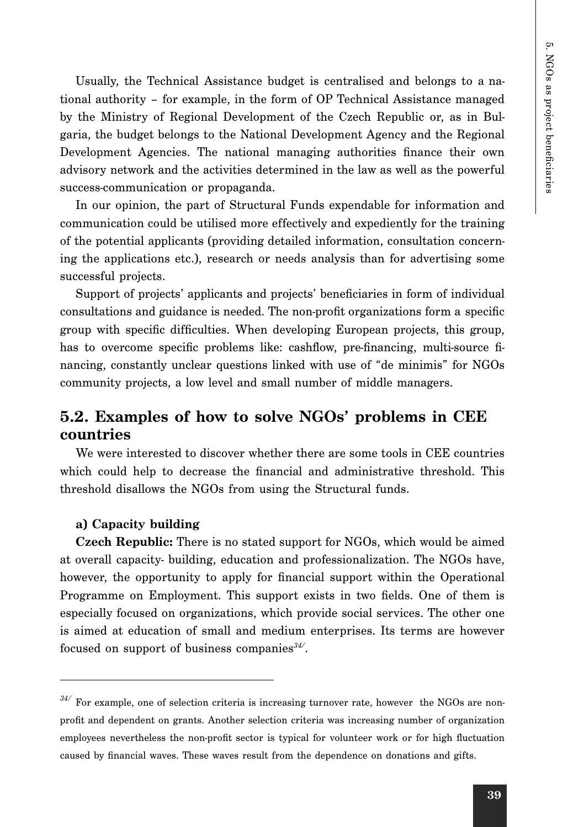Usually, the Technical Assistance budget is centralised and belongs to a national authority – for example, in the form of OP Technical Assistance managed by the Ministry of Regional Development of the Czech Republic or, as in Bulgaria, the budget belongs to the National Development Agency and the Regional Development Agencies. The national managing authorities finance their own advisory network and the activities determined in the law as well as the powerful success-communication or propaganda.

In our opinion, the part of Structural Funds expendable for information and communication could be utilised more effectively and expediently for the training of the potential applicants (providing detailed information, consultation concerning the applications etc.), research or needs analysis than for advertising some successful projects.

Support of projects' applicants and projects' beneficiaries in form of individual consultations and guidance is needed. The non-profit organizations form a specific group with specific difficulties. When developing European projects, this group, has to overcome specific problems like: cashflow, pre-financing, multi-source financing, constantly unclear questions linked with use of "de minimis" for NGOs community projects, a low level and small number of middle managers.

#### **5.2. Examples of how to solve NGOs' problems in CEE countries**

We were interested to discover whether there are some tools in CEE countries which could help to decrease the financial and administrative threshold. This threshold disallows the NGOs from using the Structural funds.

#### **a) Capacity building**

**Czech Republic:** There is no stated support for NGOs, which would be aimed at overall capacity- building, education and professionalization. The NGOs have, however, the opportunity to apply for financial support within the Operational Programme on Employment. This support exists in two fields. One of them is especially focused on organizations, which provide social services. The other one is aimed at education of small and medium enterprises. Its terms are however focused on support of business companies*34/*.

*<sup>34/</sup>* For example, one of selection criteria is increasing turnover rate, however the NGOs are nonprofit and dependent on grants. Another selection criteria was increasing number of organization employees nevertheless the non-profit sector is typical for volunteer work or for high fluctuation caused by financial waves. These waves result from the dependence on donations and gifts.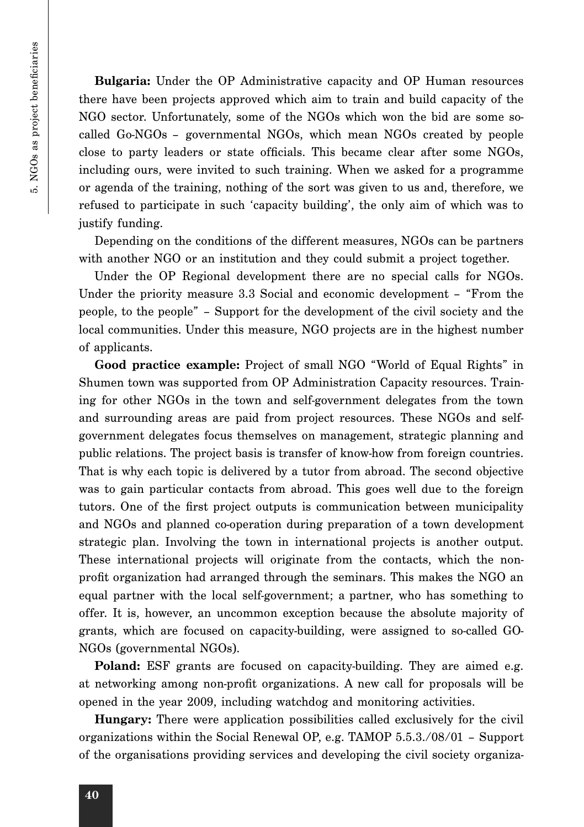5. NGOs as project beneficiaries 5. NGOs as project beneficiaries

**Bulgaria:** Under the OP Administrative capacity and OP Human resources there have been projects approved which aim to train and build capacity of the NGO sector. Unfortunately, some of the NGOs which won the bid are some socalled Go-NGOs – governmental NGOs, which mean NGOs created by people close to party leaders or state officials. This became clear after some NGOs, including ours, were invited to such training. When we asked for a programme or agenda of the training, nothing of the sort was given to us and, therefore, we refused to participate in such 'capacity building', the only aim of which was to justify funding.

Depending on the conditions of the different measures, NGOs can be partners with another NGO or an institution and they could submit a project together.

Under the OP Regional development there are no special calls for NGOs. Under the priority measure 3.3 Social and economic development – "From the people, to the people" – Support for the development of the civil society and the local communities. Under this measure, NGO projects are in the highest number of applicants.

**Good practice example:** Project of small NGO "World of Equal Rights" in Shumen town was supported from OP Administration Capacity resources. Training for other NGOs in the town and self-government delegates from the town and surrounding areas are paid from project resources. These NGOs and selfgovernment delegates focus themselves on management, strategic planning and public relations. The project basis is transfer of know-how from foreign countries. That is why each topic is delivered by a tutor from abroad. The second objective was to gain particular contacts from abroad. This goes well due to the foreign tutors. One of the first project outputs is communication between municipality and NGOs and planned co-operation during preparation of a town development strategic plan. Involving the town in international projects is another output. These international projects will originate from the contacts, which the nonprofit organization had arranged through the seminars. This makes the NGO an equal partner with the local self-government; a partner, who has something to offer. It is, however, an uncommon exception because the absolute majority of grants, which are focused on capacity-building, were assigned to so-called GO-NGOs (governmental NGOs).

**Poland:** ESF grants are focused on capacity-building. They are aimed e.g. at networking among non-profit organizations. A new call for proposals will be opened in the year 2009, including watchdog and monitoring activities.

**Hungary:** There were application possibilities called exclusively for the civil organizations within the Social Renewal OP, e.g. TAMOP 5.5.3./08/01 – Support of the organisations providing services and developing the civil society organiza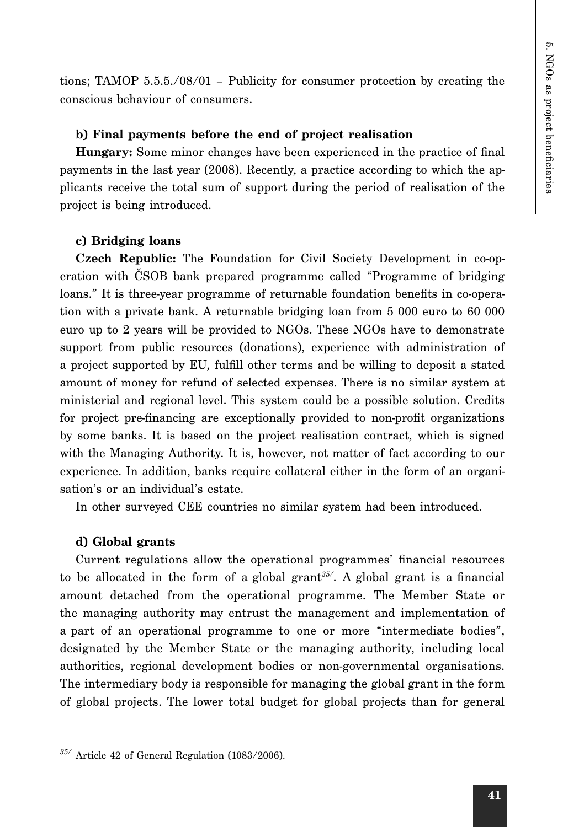tions; TAMOP 5.5.5./08/01 – Publicity for consumer protection by creating the conscious behaviour of consumers.

#### **b) Final payments before the end of project realisation**

**Hungary:** Some minor changes have been experienced in the practice of final payments in the last year (2008). Recently, a practice according to which the applicants receive the total sum of support during the period of realisation of the project is being introduced.

#### **c) Bridging loans**

**Czech Republic:** The Foundation for Civil Society Development in co-operation with ČSOB bank prepared programme called "Programme of bridging loans." It is three-year programme of returnable foundation benefits in co-operation with a private bank. A returnable bridging loan from 5 000 euro to 60 000 euro up to 2 years will be provided to NGOs. These NGOs have to demonstrate support from public resources (donations), experience with administration of a project supported by EU, fulfill other terms and be willing to deposit a stated amount of money for refund of selected expenses. There is no similar system at ministerial and regional level. This system could be a possible solution. Credits for project pre-financing are exceptionally provided to non-profit organizations by some banks. It is based on the project realisation contract, which is signed with the Managing Authority. It is, however, not matter of fact according to our experience. In addition, banks require collateral either in the form of an organisation's or an individual's estate.

In other surveyed CEE countries no similar system had been introduced.

#### **d) Global grants**

Current regulations allow the operational programmes' financial resources to be allocated in the form of a global grant*35/*. A global grant is a financial amount detached from the operational programme. The Member State or the managing authority may entrust the management and implementation of a part of an operational programme to one or more "intermediate bodies", designated by the Member State or the managing authority, including local authorities, regional development bodies or non-governmental organisations. The intermediary body is responsible for managing the global grant in the form of global projects. The lower total budget for global projects than for general

*<sup>35/</sup>* Article 42 of General Regulation (1083/2006).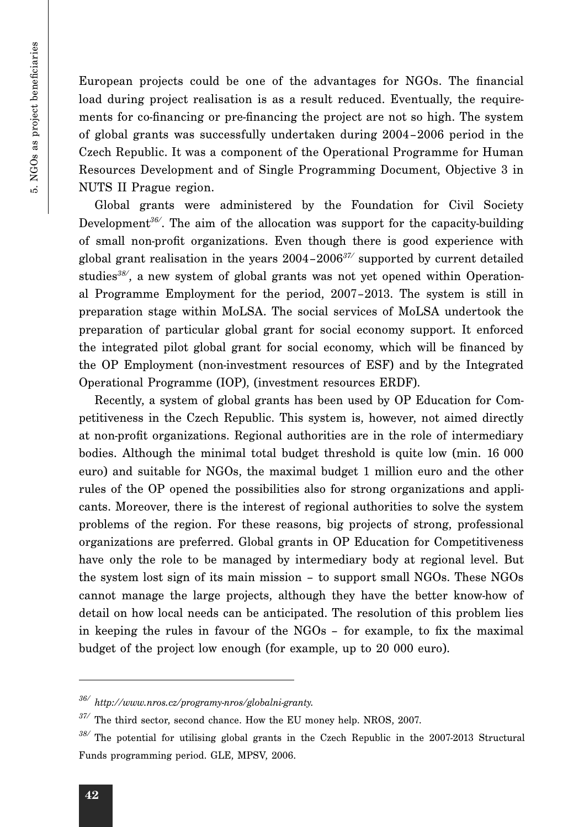European projects could be one of the advantages for NGOs. The financial load during project realisation is as a result reduced. Eventually, the requirements for co-financing or pre-financing the project are not so high. The system of global grants was successfully undertaken during 2004–2006 period in the Czech Republic. It was a component of the Operational Programme for Human Resources Development and of Single Programming Document, Objective 3 in NUTS II Prague region.

Global grants were administered by the Foundation for Civil Society Development*36/*. The aim of the allocation was support for the capacity-building of small non-profit organizations. Even though there is good experience with global grant realisation in the years 2004–2006*37/* supported by current detailed studies*38/*, a new system of global grants was not yet opened within Operational Programme Employment for the period, 2007–2013. The system is still in preparation stage within MoLSA. The social services of MoLSA undertook the preparation of particular global grant for social economy support. It enforced the integrated pilot global grant for social economy, which will be financed by the OP Employment (non-investment resources of ESF) and by the Integrated Operational Programme (IOP), (investment resources ERDF).

Recently, a system of global grants has been used by OP Education for Competitiveness in the Czech Republic. This system is, however, not aimed directly at non-profit organizations. Regional authorities are in the role of intermediary bodies. Although the minimal total budget threshold is quite low (min. 16 000 euro) and suitable for NGOs, the maximal budget 1 million euro and the other rules of the OP opened the possibilities also for strong organizations and applicants. Moreover, there is the interest of regional authorities to solve the system problems of the region. For these reasons, big projects of strong, professional organizations are preferred. Global grants in OP Education for Competitiveness have only the role to be managed by intermediary body at regional level. But the system lost sign of its main mission – to support small NGOs. These NGOs cannot manage the large projects, although they have the better know-how of detail on how local needs can be anticipated. The resolution of this problem lies in keeping the rules in favour of the NGOs – for example, to fix the maximal budget of the project low enough (for example, up to 20 000 euro).

*<sup>36/</sup> http://www.nros.cz/programy-nros/globalni-granty.*

*<sup>37/</sup>* The third sector, second chance. How the EU money help. NROS, 2007.

*<sup>38/</sup>* The potential for utilising global grants in the Czech Republic in the 2007-2013 Structural Funds programming period. GLE, MPSV, 2006.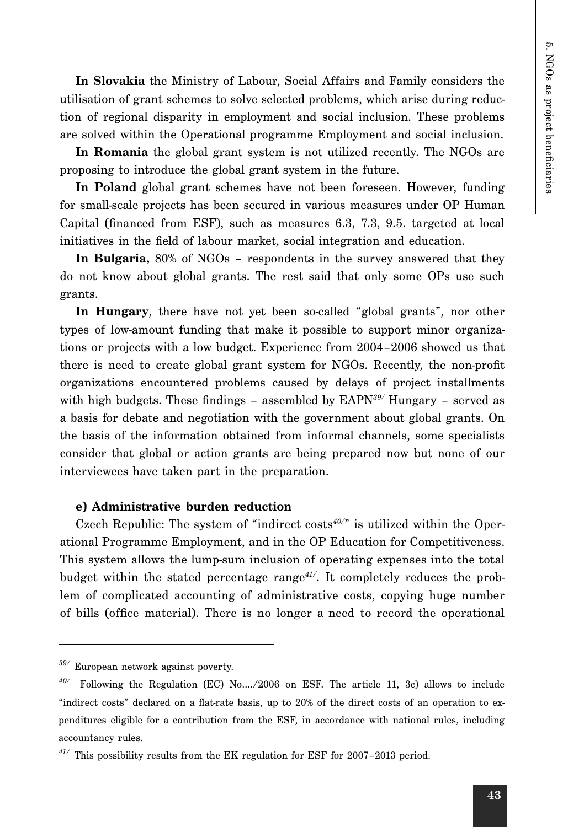**In Slovakia** the Ministry of Labour, Social Affairs and Family considers the utilisation of grant schemes to solve selected problems, which arise during reduction of regional disparity in employment and social inclusion. These problems are solved within the Operational programme Employment and social inclusion.

**In Romania** the global grant system is not utilized recently. The NGOs are proposing to introduce the global grant system in the future.

**In Poland** global grant schemes have not been foreseen. However, funding for small-scale projects has been secured in various measures under OP Human Capital (financed from ESF), such as measures 6.3, 7.3, 9.5. targeted at local initiatives in the field of labour market, social integration and education.

**In Bulgaria,** 80% of NGOs – respondents in the survey answered that they do not know about global grants. The rest said that only some OPs use such grants.

**In Hungary**, there have not yet been so-called "global grants", nor other types of low-amount funding that make it possible to support minor organizations or projects with a low budget. Experience from 2004–2006 showed us that there is need to create global grant system for NGOs. Recently, the non-profit organizations encountered problems caused by delays of project installments with high budgets. These findings – assembled by EAPN*39/* Hungary – served as a basis for debate and negotiation with the government about global grants. On the basis of the information obtained from informal channels, some specialists consider that global or action grants are being prepared now but none of our interviewees have taken part in the preparation.

#### **e) Administrative burden reduction**

Czech Republic: The system of "indirect costs*40/*" is utilized within the Operational Programme Employment, and in the OP Education for Competitiveness. This system allows the lump-sum inclusion of operating expenses into the total budget within the stated percentage range*41/*. It completely reduces the problem of complicated accounting of administrative costs, copying huge number of bills (office material). There is no longer a need to record the operational

*<sup>39/</sup>* European network against poverty.

*<sup>40/</sup>* Following the Regulation (EC) No…./2006 on ESF. The article 11, 3c) allows to include "indirect costs" declared on a flat-rate basis, up to 20% of the direct costs of an operation to expenditures eligible for a contribution from the ESF, in accordance with national rules, including accountancy rules.

*<sup>41/</sup>* This possibility results from the EK regulation for ESF for 2007–2013 period.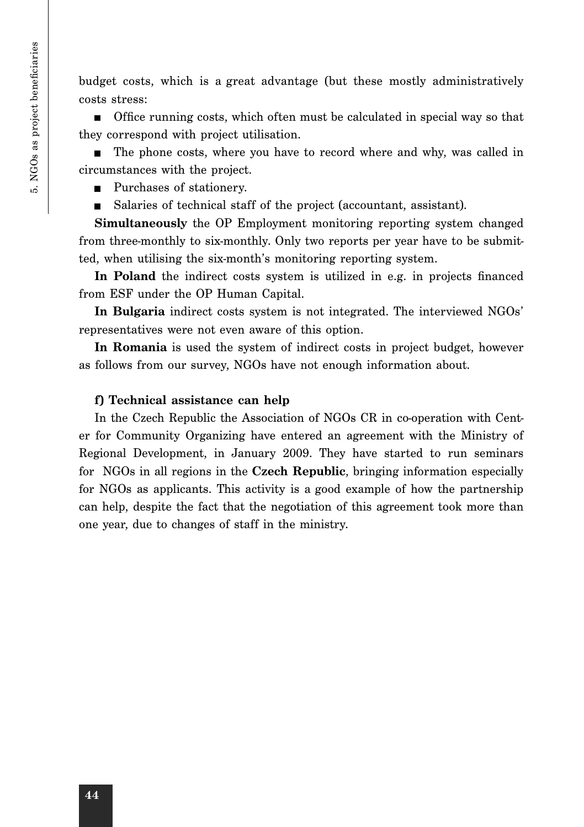budget costs, which is a great advantage (but these mostly administratively costs stress:

**Office running costs, which often must be calculated in special way so that** they correspond with project utilisation.

The phone costs, where you have to record where and why, was called in circumstances with the project.

■ Purchases of stationery.

Salaries of technical staff of the project (accountant, assistant).

**Simultaneously** the OP Employment monitoring reporting system changed from three-monthly to six-monthly. Only two reports per year have to be submitted, when utilising the six-month's monitoring reporting system.

**In Poland** the indirect costs system is utilized in e.g. in projects financed from ESF under the OP Human Capital.

**In Bulgaria** indirect costs system is not integrated. The interviewed NGOs' representatives were not even aware of this option.

**In Romania** is used the system of indirect costs in project budget, however as follows from our survey, NGOs have not enough information about.

#### **f) Technical assistance can help**

In the Czech Republic the Association of NGOs CR in co-operation with Center for Community Organizing have entered an agreement with the Ministry of Regional Development, in January 2009. They have started to run seminars for NGOs in all regions in the **Czech Republic**, bringing information especially for NGOs as applicants. This activity is a good example of how the partnership can help, despite the fact that the negotiation of this agreement took more than one year, due to changes of staff in the ministry.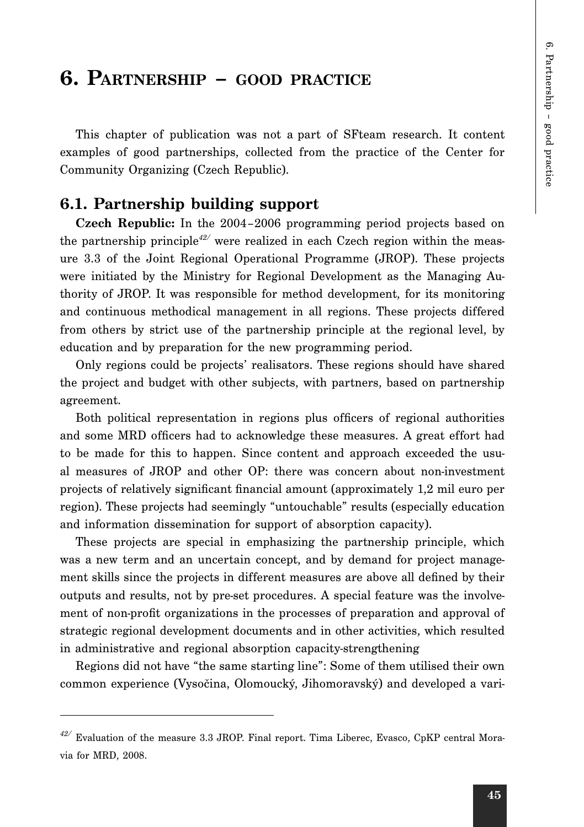#### **6. PARTNERSHIP – GOOD PRACTICE**

This chapter of publication was not a part of SFteam research. It content examples of good partnerships, collected from the practice of the Center for Community Organizing (Czech Republic).

#### **6.1. Partnership building support**

**Czech Republic:** In the 2004–2006 programming period projects based on the partnership principle*42/* were realized in each Czech region within the measure 3.3 of the Joint Regional Operational Programme (JROP). These projects were initiated by the Ministry for Regional Development as the Managing Authority of JROP. It was responsible for method development, for its monitoring and continuous methodical management in all regions. These projects differed from others by strict use of the partnership principle at the regional level, by education and by preparation for the new programming period.

Only regions could be projects' realisators. These regions should have shared the project and budget with other subjects, with partners, based on partnership agreement.

Both political representation in regions plus officers of regional authorities and some MRD officers had to acknowledge these measures. A great effort had to be made for this to happen. Since content and approach exceeded the usual measures of JROP and other OP: there was concern about non-investment projects of relatively significant financial amount (approximately 1,2 mil euro per region). These projects had seemingly "untouchable" results (especially education and information dissemination for support of absorption capacity).

These projects are special in emphasizing the partnership principle, which was a new term and an uncertain concept, and by demand for project management skills since the projects in different measures are above all defined by their outputs and results, not by pre-set procedures. A special feature was the involvement of non-profit organizations in the processes of preparation and approval of strategic regional development documents and in other activities, which resulted in administrative and regional absorption capacity-strengthening

Regions did not have "the same starting line": Some of them utilised their own common experience (Vysočina, Olomoucký, Jihomoravský) and developed a vari-

*<sup>42/</sup>* Evaluation of the measure 3.3 JROP. Final report. Tima Liberec, Evasco, CpKP central Moravia for MRD, 2008.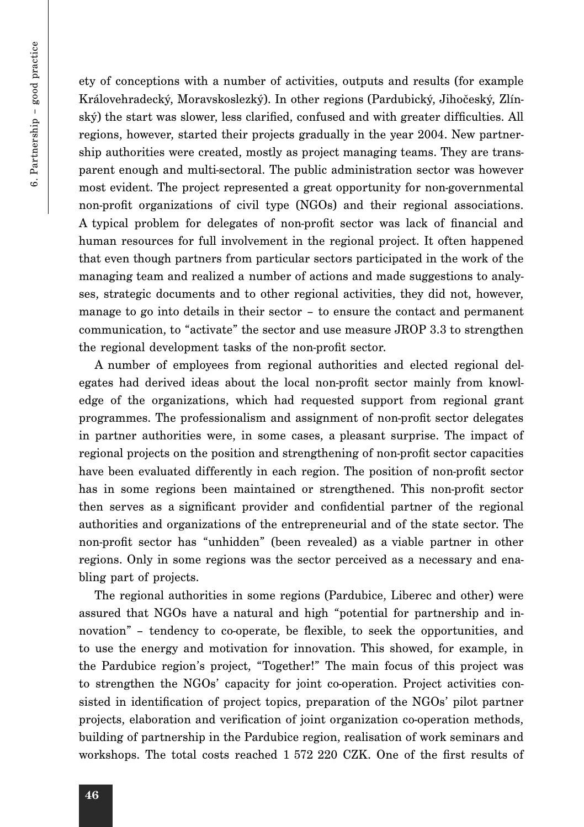ety of conceptions with a number of activities, outputs and results (for example Královehradecký, Moravskoslezký). In other regions (Pardubický, Jihočeský, Zlínský) the start was slower, less clarified, confused and with greater difficulties. All regions, however, started their projects gradually in the year 2004. New partnership authorities were created, mostly as project managing teams. They are transparent enough and multi-sectoral. The public administration sector was however most evident. The project represented a great opportunity for non-governmental non-profit organizations of civil type (NGOs) and their regional associations. A typical problem for delegates of non-profit sector was lack of financial and human resources for full involvement in the regional project. It often happened that even though partners from particular sectors participated in the work of the managing team and realized a number of actions and made suggestions to analyses, strategic documents and to other regional activities, they did not, however, manage to go into details in their sector – to ensure the contact and permanent communication, to "activate" the sector and use measure JROP 3.3 to strengthen the regional development tasks of the non-profit sector.

A number of employees from regional authorities and elected regional delegates had derived ideas about the local non-profit sector mainly from knowledge of the organizations, which had requested support from regional grant programmes. The professionalism and assignment of non-profit sector delegates in partner authorities were, in some cases, a pleasant surprise. The impact of regional projects on the position and strengthening of non-profit sector capacities have been evaluated differently in each region. The position of non-profit sector has in some regions been maintained or strengthened. This non-profit sector then serves as a significant provider and confidential partner of the regional authorities and organizations of the entrepreneurial and of the state sector. The non-profit sector has "unhidden" (been revealed) as a viable partner in other regions. Only in some regions was the sector perceived as a necessary and enabling part of projects.

The regional authorities in some regions (Pardubice, Liberec and other) were assured that NGOs have a natural and high "potential for partnership and innovation" – tendency to co-operate, be flexible, to seek the opportunities, and to use the energy and motivation for innovation. This showed, for example, in the Pardubice region's project, "Together!" The main focus of this project was to strengthen the NGOs' capacity for joint co-operation. Project activities consisted in identification of project topics, preparation of the NGOs' pilot partner projects, elaboration and verification of joint organization co-operation methods, building of partnership in the Pardubice region, realisation of work seminars and workshops. The total costs reached 1 572 220 CZK. One of the first results of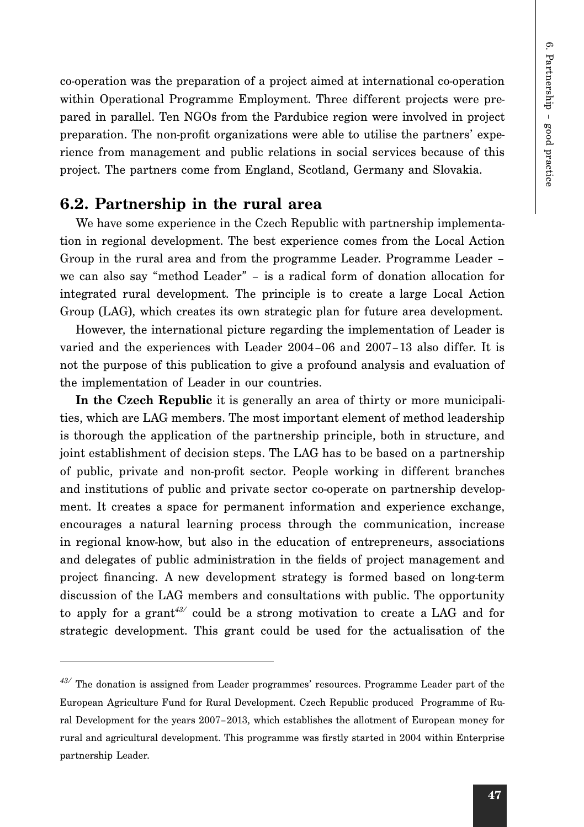co-operation was the preparation of a project aimed at international co-operation within Operational Programme Employment. Three different projects were prepared in parallel. Ten NGOs from the Pardubice region were involved in project preparation. The non-profit organizations were able to utilise the partners' experience from management and public relations in social services because of this project. The partners come from England, Scotland, Germany and Slovakia.

#### **6.2. Partnership in the rural area**

We have some experience in the Czech Republic with partnership implementation in regional development. The best experience comes from the Local Action Group in the rural area and from the programme Leader. Programme Leader – we can also say "method Leader" – is a radical form of donation allocation for integrated rural development. The principle is to create a large Local Action Group (LAG), which creates its own strategic plan for future area development.

However, the international picture regarding the implementation of Leader is varied and the experiences with Leader 2004–06 and 2007–13 also differ. It is not the purpose of this publication to give a profound analysis and evaluation of the implementation of Leader in our countries.

**In the Czech Republic** it is generally an area of thirty or more municipalities, which are LAG members. The most important element of method leadership is thorough the application of the partnership principle, both in structure, and joint establishment of decision steps. The LAG has to be based on a partnership of public, private and non-profit sector. People working in different branches and institutions of public and private sector co-operate on partnership development. It creates a space for permanent information and experience exchange, encourages a natural learning process through the communication, increase in regional know-how, but also in the education of entrepreneurs, associations and delegates of public administration in the fields of project management and project financing. A new development strategy is formed based on long-term discussion of the LAG members and consultations with public. The opportunity to apply for a grant*43/* could be a strong motivation to create a LAG and for strategic development. This grant could be used for the actualisation of the

*<sup>43/</sup>* The donation is assigned from Leader programmes' resources. Programme Leader part of the European Agriculture Fund for Rural Development. Czech Republic produced Programme of Rural Development for the years 2007–2013, which establishes the allotment of European money for rural and agricultural development. This programme was firstly started in 2004 within Enterprise partnership Leader.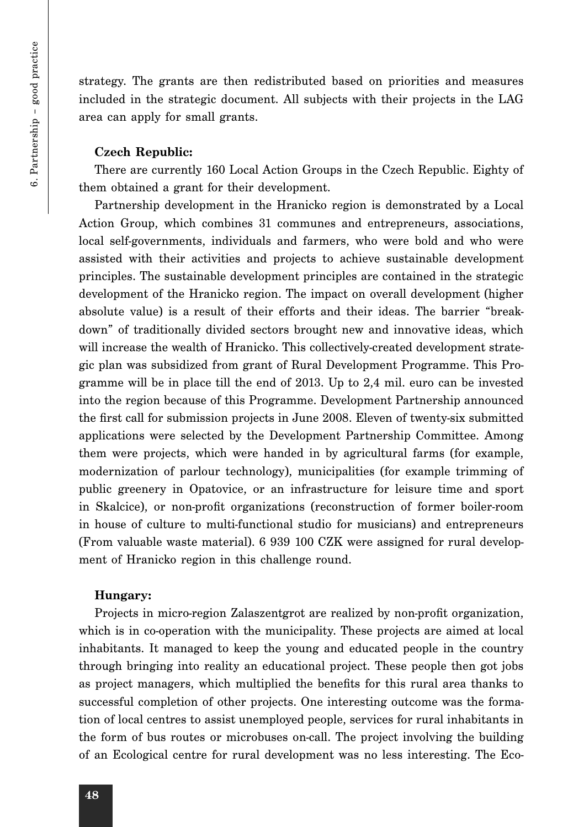6. Partnership - good practice 6. Partnership – good practice

strategy. The grants are then redistributed based on priorities and measures included in the strategic document. All subjects with their projects in the LAG area can apply for small grants.

#### **Czech Republic:**

There are currently 160 Local Action Groups in the Czech Republic. Eighty of them obtained a grant for their development.

Partnership development in the Hranicko region is demonstrated by a Local Action Group, which combines 31 communes and entrepreneurs, associations, local self-governments, individuals and farmers, who were bold and who were assisted with their activities and projects to achieve sustainable development principles. The sustainable development principles are contained in the strategic development of the Hranicko region. The impact on overall development (higher absolute value) is a result of their efforts and their ideas. The barrier "breakdown" of traditionally divided sectors brought new and innovative ideas, which will increase the wealth of Hranicko. This collectively-created development strategic plan was subsidized from grant of Rural Development Programme. This Programme will be in place till the end of 2013. Up to 2,4 mil. euro can be invested into the region because of this Programme. Development Partnership announced the first call for submission projects in June 2008. Eleven of twenty-six submitted applications were selected by the Development Partnership Committee. Among them were projects, which were handed in by agricultural farms (for example, modernization of parlour technology), municipalities (for example trimming of public greenery in Opatovice, or an infrastructure for leisure time and sport in Skalcice), or non-profit organizations (reconstruction of former boiler-room in house of culture to multi-functional studio for musicians) and entrepreneurs (From valuable waste material). 6 939 100 CZK were assigned for rural development of Hranicko region in this challenge round.

#### **Hungary:**

Projects in micro-region Zalaszentgrot are realized by non-profit organization, which is in co-operation with the municipality. These projects are aimed at local inhabitants. It managed to keep the young and educated people in the country through bringing into reality an educational project. These people then got jobs as project managers, which multiplied the benefits for this rural area thanks to successful completion of other projects. One interesting outcome was the formation of local centres to assist unemployed people, services for rural inhabitants in the form of bus routes or microbuses on-call. The project involving the building of an Ecological centre for rural development was no less interesting. The Eco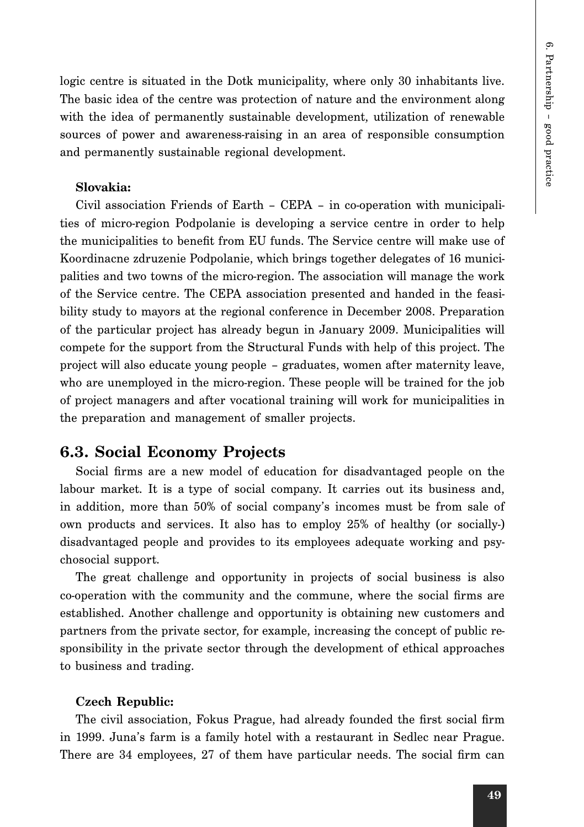logic centre is situated in the Dotk municipality, where only 30 inhabitants live. The basic idea of the centre was protection of nature and the environment along with the idea of permanently sustainable development, utilization of renewable sources of power and awareness-raising in an area of responsible consumption and permanently sustainable regional development.

#### **Slovakia:**

Civil association Friends of Earth – CEPA – in co-operation with municipalities of micro-region Podpolanie is developing a service centre in order to help the municipalities to benefit from EU funds. The Service centre will make use of Koordinacne zdruzenie Podpolanie, which brings together delegates of 16 municipalities and two towns of the micro-region. The association will manage the work of the Service centre. The CEPA association presented and handed in the feasibility study to mayors at the regional conference in December 2008. Preparation of the particular project has already begun in January 2009. Municipalities will compete for the support from the Structural Funds with help of this project. The project will also educate young people – graduates, women after maternity leave, who are unemployed in the micro-region. These people will be trained for the job of project managers and after vocational training will work for municipalities in the preparation and management of smaller projects.

#### **6.3. Social Economy Projects**

Social firms are a new model of education for disadvantaged people on the labour market. It is a type of social company. It carries out its business and, in addition, more than 50% of social company's incomes must be from sale of own products and services. It also has to employ 25% of healthy (or socially-) disadvantaged people and provides to its employees adequate working and psychosocial support.

The great challenge and opportunity in projects of social business is also co-operation with the community and the commune, where the social firms are established. Another challenge and opportunity is obtaining new customers and partners from the private sector, for example, increasing the concept of public responsibility in the private sector through the development of ethical approaches to business and trading.

#### **Czech Republic:**

The civil association, Fokus Prague, had already founded the first social firm in 1999. Juna's farm is a family hotel with a restaurant in Sedlec near Prague. There are 34 employees, 27 of them have particular needs. The social firm can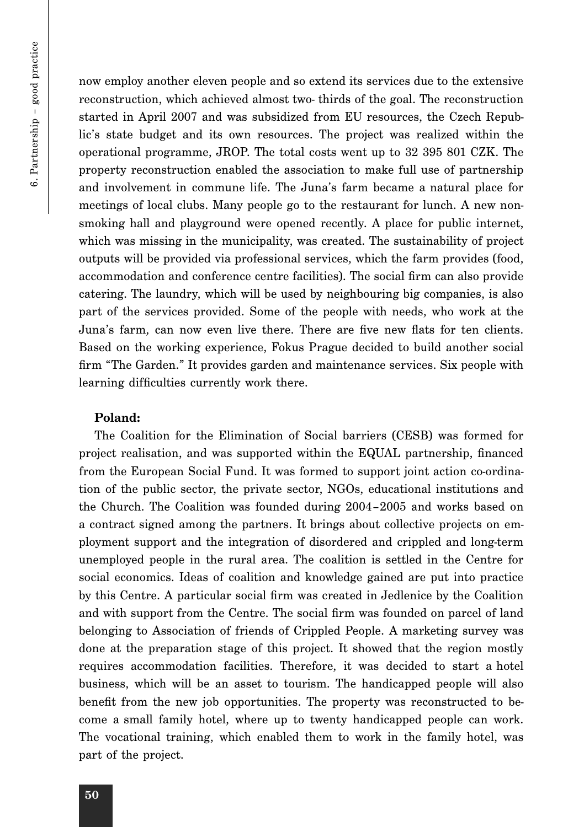now employ another eleven people and so extend its services due to the extensive reconstruction, which achieved almost two- thirds of the goal. The reconstruction started in April 2007 and was subsidized from EU resources, the Czech Republic's state budget and its own resources. The project was realized within the operational programme, JROP. The total costs went up to 32 395 801 CZK. The property reconstruction enabled the association to make full use of partnership and involvement in commune life. The Juna's farm became a natural place for meetings of local clubs. Many people go to the restaurant for lunch. A new nonsmoking hall and playground were opened recently. A place for public internet, which was missing in the municipality, was created. The sustainability of project outputs will be provided via professional services, which the farm provides (food, accommodation and conference centre facilities). The social firm can also provide catering. The laundry, which will be used by neighbouring big companies, is also part of the services provided. Some of the people with needs, who work at the Juna's farm, can now even live there. There are five new flats for ten clients. Based on the working experience, Fokus Prague decided to build another social firm "The Garden." It provides garden and maintenance services. Six people with learning difficulties currently work there.

#### **Poland:**

The Coalition for the Elimination of Social barriers (CESB) was formed for project realisation, and was supported within the EQUAL partnership, financed from the European Social Fund. It was formed to support joint action co-ordination of the public sector, the private sector, NGOs, educational institutions and the Church. The Coalition was founded during 2004–2005 and works based on a contract signed among the partners. It brings about collective projects on employment support and the integration of disordered and crippled and long-term unemployed people in the rural area. The coalition is settled in the Centre for social economics. Ideas of coalition and knowledge gained are put into practice by this Centre. A particular social firm was created in Jedlenice by the Coalition and with support from the Centre. The social firm was founded on parcel of land belonging to Association of friends of Crippled People. A marketing survey was done at the preparation stage of this project. It showed that the region mostly requires accommodation facilities. Therefore, it was decided to start a hotel business, which will be an asset to tourism. The handicapped people will also benefit from the new job opportunities. The property was reconstructed to become a small family hotel, where up to twenty handicapped people can work. The vocational training, which enabled them to work in the family hotel, was part of the project.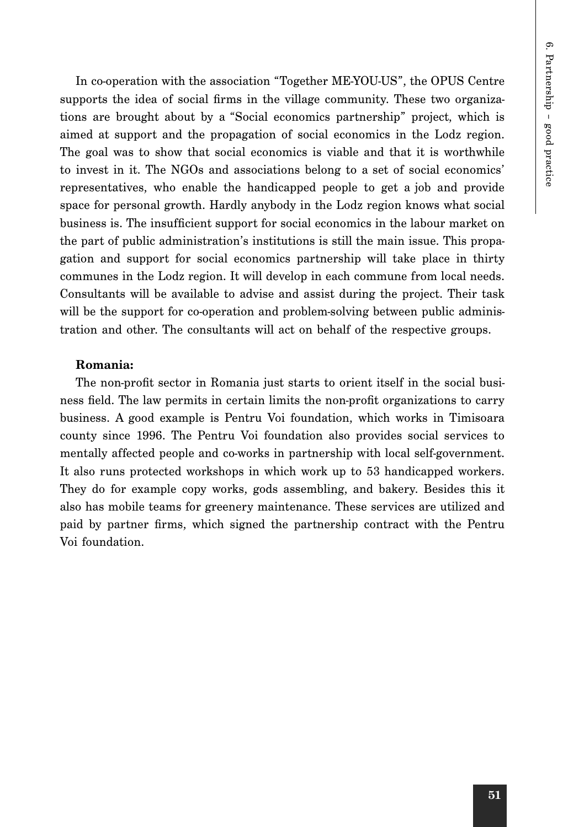In co-operation with the association "Together ME-YOU-US", the OPUS Centre supports the idea of social firms in the village community. These two organizations are brought about by a "Social economics partnership" project, which is aimed at support and the propagation of social economics in the Lodz region. The goal was to show that social economics is viable and that it is worthwhile to invest in it. The NGOs and associations belong to a set of social economics' representatives, who enable the handicapped people to get a job and provide space for personal growth. Hardly anybody in the Lodz region knows what social business is. The insufficient support for social economics in the labour market on the part of public administration's institutions is still the main issue. This propagation and support for social economics partnership will take place in thirty communes in the Lodz region. It will develop in each commune from local needs. Consultants will be available to advise and assist during the project. Their task will be the support for co-operation and problem-solving between public administration and other. The consultants will act on behalf of the respective groups.

#### **Romania:**

The non-profit sector in Romania just starts to orient itself in the social business field. The law permits in certain limits the non-profit organizations to carry business. A good example is Pentru Voi foundation, which works in Timisoara county since 1996. The Pentru Voi foundation also provides social services to mentally affected people and co-works in partnership with local self-government. It also runs protected workshops in which work up to 53 handicapped workers. They do for example copy works, gods assembling, and bakery. Besides this it also has mobile teams for greenery maintenance. These services are utilized and paid by partner firms, which signed the partnership contract with the Pentru Voi foundation.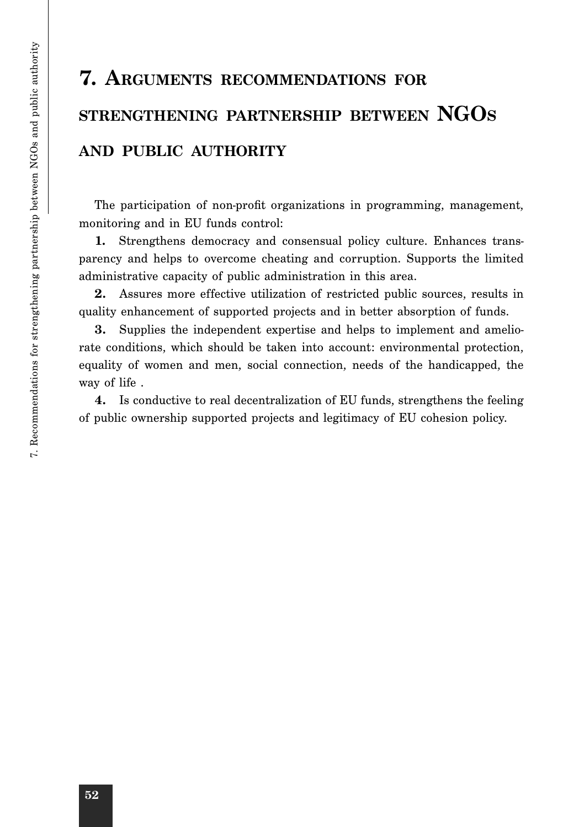# 7. Recommendations for strengthening partnership between NGOs and public authority 7. Recommendations for strengthening partnership between NGOs and public authority

# **7. ARGUMENTS RECOMMENDATIONS FOR STRENGTHENING PARTNERSHIP BETWEEN NGOS AND PUBLIC AUTHORITY**

The participation of non-profit organizations in programming, management, monitoring and in EU funds control:

**1.** Strengthens democracy and consensual policy culture. Enhances transparency and helps to overcome cheating and corruption. Supports the limited administrative capacity of public administration in this area.

**2.** Assures more effective utilization of restricted public sources, results in quality enhancement of supported projects and in better absorption of funds.

**3.** Supplies the independent expertise and helps to implement and ameliorate conditions, which should be taken into account: environmental protection, equality of women and men, social connection, needs of the handicapped, the way of life .

**4.** Is conductive to real decentralization of EU funds, strengthens the feeling of public ownership supported projects and legitimacy of EU cohesion policy.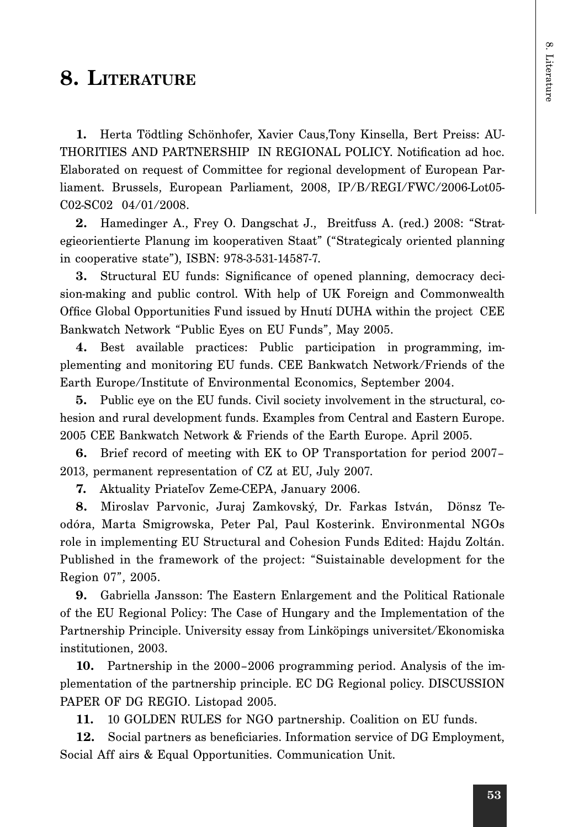# **8. LITERATURE**

**1.** Herta Tödtling Schönhofer, Xavier Caus,Tony Kinsella, Bert Preiss: AU-THORITIES AND PARTNERSHIP IN REGIONAL POLICY. Notification ad hoc. Elaborated on request of Committee for regional development of European Parliament. Brussels, European Parliament, 2008, IP/B/REGI/FWC/2006-Lot05- C02-SC02 04/01/2008.

**2.** Hamedinger A., Frey O. Dangschat J., Breitfuss A. (red.) 2008: "Strategieorientierte Planung im kooperativen Staat" ("Strategicaly oriented planning in cooperative state"), ISBN: 978-3-531-14587-7.

**3.** Structural EU funds: Significance of opened planning, democracy decision-making and public control. With help of UK Foreign and Commonwealth Office Global Opportunities Fund issued by Hnutí DUHA within the project CEE Bankwatch Network "Public Eyes on EU Funds", May 2005.

**4.** Best available practices: Public participation in programming, implementing and monitoring EU funds. CEE Bankwatch Network/Friends of the Earth Europe/Institute of Environmental Economics, September 2004.

**5.** Public eye on the EU funds. Civil society involvement in the structural, cohesion and rural development funds. Examples from Central and Eastern Europe. 2005 CEE Bankwatch Network & Friends of the Earth Europe. April 2005.

**6.** Brief record of meeting with EK to OP Transportation for period 2007– 2013, permanent representation of CZ at EU, July 2007.

**7.** Aktuality Priateľov Zeme-CEPA, January 2006.

**8.** Miroslav Parvonic, Juraj Zamkovský, Dr. Farkas István, Dönsz Teodóra, Marta Smigrowska, Peter Pal, Paul Kosterink. Environmental NGOs role in implementing EU Structural and Cohesion Funds Edited: Hajdu Zoltán. Published in the framework of the project: "Suistainable development for the Region 07", 2005.

**9.** Gabriella Jansson: The Eastern Enlargement and the Political Rationale of the EU Regional Policy: The Case of Hungary and the Implementation of the Partnership Principle. University essay from Linköpings universitet/Ekonomiska institutionen, 2003.

**10.** Partnership in the 2000–2006 programming period. Analysis of the implementation of the partnership principle. EC DG Regional policy. DISCUSSION PAPER OF DG REGIO. Listopad 2005.

**11.** 10 GOLDEN RULES for NGO partnership. Coalition on EU funds.

**12.** Social partners as beneficiaries. Information service of DG Employment, Social Aff airs & Equal Opportunities. Communication Unit.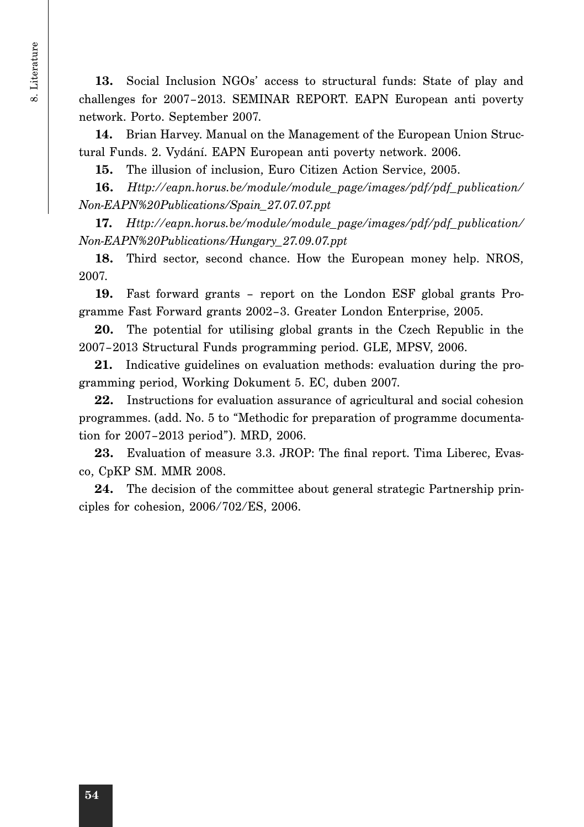**13.** Social Inclusion NGOs' access to structural funds: State of play and challenges for 2007–2013. SEMINAR REPORT. EAPN European anti poverty network. Porto. September 2007.

**14.** Brian Harvey. Manual on the Management of the European Union Structural Funds. 2. Vydání. EAPN European anti poverty network. 2006.

**15.** The illusion of inclusion, Euro Citizen Action Service, 2005.

**16.** *Http://eapn.horus.be/module/module\_page/images/pdf/pdf\_publication/ Non-EAPN%20Publications/Spain\_27.07.07.ppt*

**17.** *Http://eapn.horus.be/module/module\_page/images/pdf/pdf\_publication/ Non-EAPN%20Publications/Hungary\_27.09.07.ppt*

**18.** Third sector, second chance. How the European money help. NROS, 2007.

**19.** Fast forward grants – report on the London ESF global grants Programme Fast Forward grants 2002–3. Greater London Enterprise, 2005.

**20.** The potential for utilising global grants in the Czech Republic in the 2007–2013 Structural Funds programming period. GLE, MPSV, 2006.

**21.** Indicative guidelines on evaluation methods: evaluation during the programming period, Working Dokument 5. EC, duben 2007.

**22.** Instructions for evaluation assurance of agricultural and social cohesion programmes. (add. No. 5 to "Methodic for preparation of programme documentation for 2007–2013 period"). MRD, 2006.

**23.** Evaluation of measure 3.3. JROP: The final report. Tima Liberec, Evasco, CpKP SM. MMR 2008.

**24.** The decision of the committee about general strategic Partnership principles for cohesion, 2006/702/ES, 2006.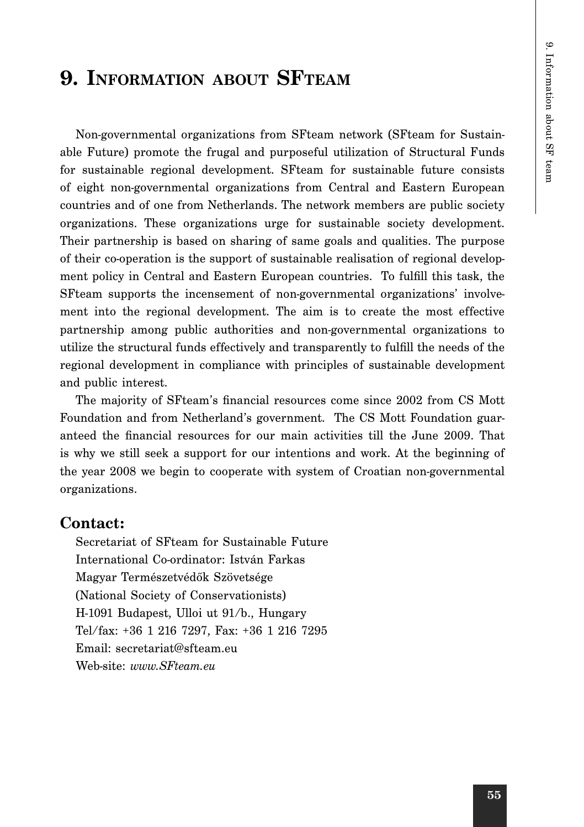# **9. INFORMATION ABOUT SFTEAM**

Non-governmental organizations from SFteam network (SFteam for Sustainable Future) promote the frugal and purposeful utilization of Structural Funds for sustainable regional development. SFteam for sustainable future consists of eight non-governmental organizations from Central and Eastern European countries and of one from Netherlands. The network members are public society organizations. These organizations urge for sustainable society development. Their partnership is based on sharing of same goals and qualities. The purpose of their co-operation is the support of sustainable realisation of regional development policy in Central and Eastern European countries. To fulfill this task, the SFteam supports the incensement of non-governmental organizations' involvement into the regional development. The aim is to create the most effective partnership among public authorities and non-governmental organizations to utilize the structural funds effectively and transparently to fulfill the needs of the regional development in compliance with principles of sustainable development and public interest.

The majority of SFteam's financial resources come since 2002 from CS Mott Foundation and from Netherland's government. The CS Mott Foundation guaranteed the financial resources for our main activities till the June 2009. That is why we still seek a support for our intentions and work. At the beginning of the year 2008 we begin to cooperate with system of Croatian non-governmental organizations.

#### **Contact:**

Secretariat of SFteam for Sustainable Future International Co-ordinator: István Farkas Magyar Természetvédők Szövetsége (National Society of Conservationists) H-1091 Budapest, Ulloi ut 91/b., Hungary Tel/fax: +36 1 216 7297, Fax: +36 1 216 7295 Email: secretariat@sfteam.eu Web-site: *www.SFteam.eu*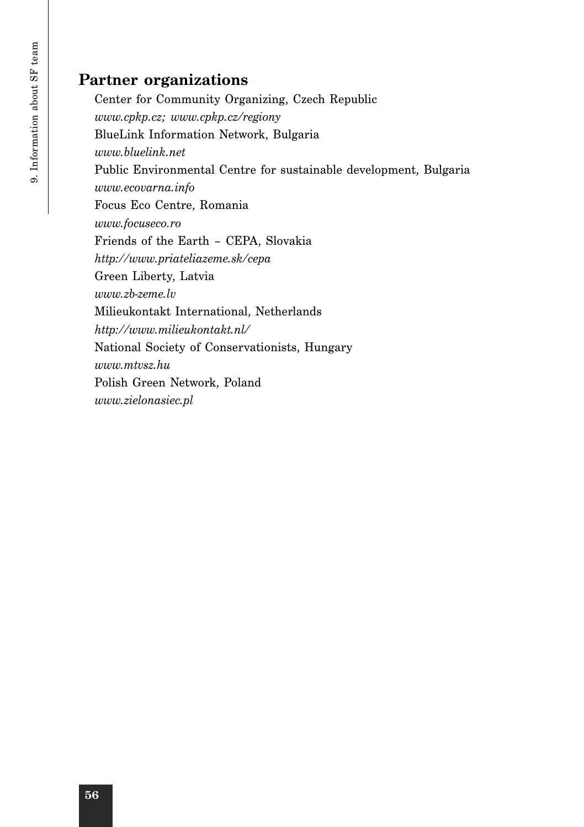#### **Partner organizations**

Center for Community Organizing, Czech Republic *www.cpkp.cz; www.cpkp.cz/regiony*  BlueLink Information Network, Bulgaria *www.bluelink.net* Public Environmental Centre for sustainable development, Bulgaria *www.ecovarna.info* Focus Eco Centre, Romania *www.focuseco.ro* Friends of the Earth – CEPA, Slovakia *http://www.priateliazeme.sk/cepa*  Green Liberty, Latvia *www.zb-zeme.lv*  Milieukontakt International, Netherlands *http://www.milieukontakt.nl/* National Society of Conservationists, Hungary *www.mtvsz.hu*  Polish Green Network, Poland *www.zielonasiec.pl*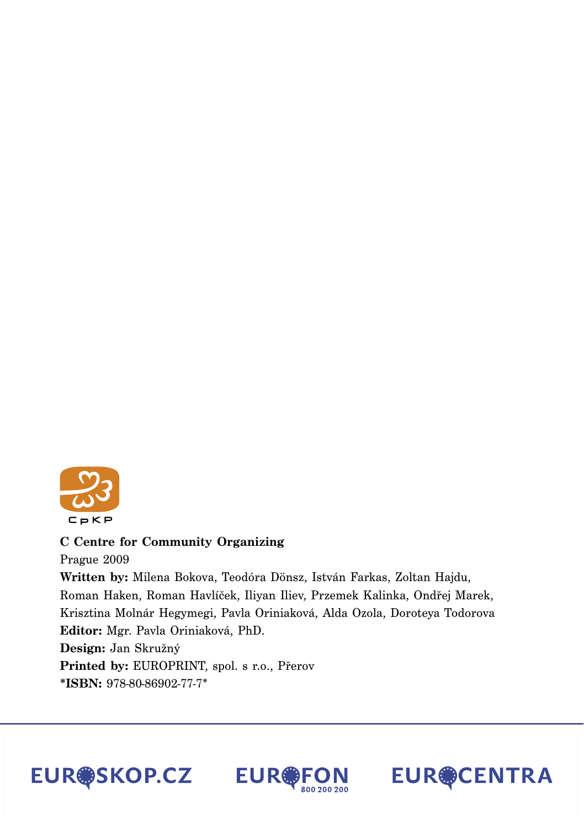

**C Centre for Community Organizing** Prague 2009 **Written by:** Milena Bokova, Teodóra Dönsz, István Farkas, Zoltan Hajdu, Roman Haken, Roman Havlíček, Iliyan Iliev, Przemek Kalinka, Ondřej Marek, Krisztina Molnár Hegymegi, Pavla Oriniaková, Alda Ozola, Doroteya Todorova **Editor:** Mgr. Pavla Oriniaková, PhD. **Design:** Jan Skružný **Printed by:** EUROPRINT, spol. s r.o., Přerov **\*ISBN:** 978-80-86902-77-7\*





**EUR@CENTRA**